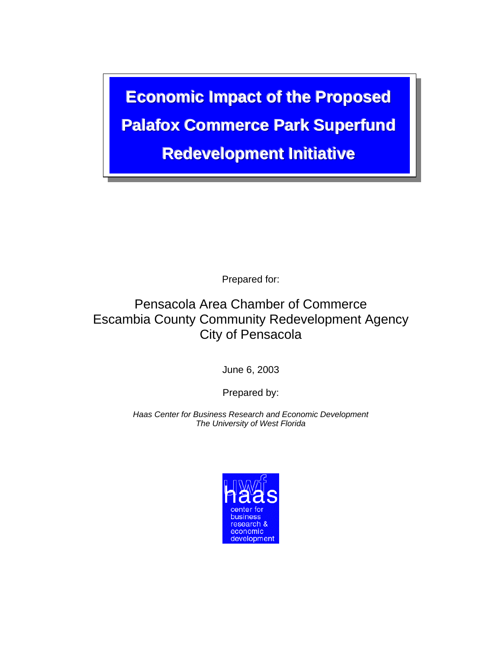**Economic Impact of the Proposed Palafox Commerce Park Superfund Redevelopment Initiative** 

Prepared for:

## Pensacola Area Chamber of Commerce Escambia County Community Redevelopment Agency City of Pensacola

June 6, 2003

Prepared by:

*Haas Center for Business Research and Economic Development The University of West Florida* 

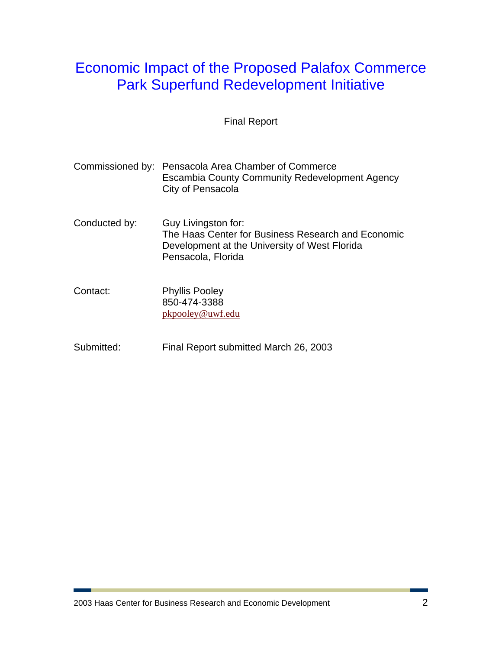## Economic Impact of the Proposed Palafox Commerce Park Superfund Redevelopment Initiative

Final Report

|               | Commissioned by: Pensacola Area Chamber of Commerce<br>Escambia County Community Redevelopment Agency<br>City of Pensacola                       |
|---------------|--------------------------------------------------------------------------------------------------------------------------------------------------|
| Conducted by: | Guy Livingston for:<br>The Haas Center for Business Research and Economic<br>Development at the University of West Florida<br>Pensacola, Florida |
| Contact:      | <b>Phyllis Pooley</b><br>850-474-3388<br>pkpooley@uwf.edu                                                                                        |

Submitted: Final Report submitted March 26, 2003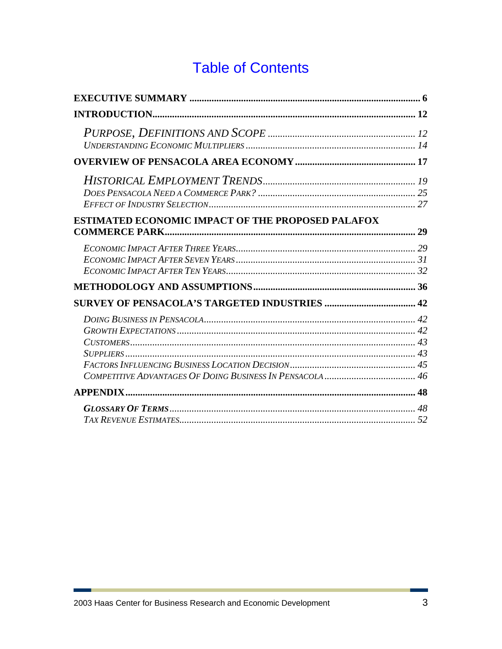# **Table of Contents**

| ESTIMATED ECONOMIC IMPACT OF THE PROPOSED PALAFOX |  |
|---------------------------------------------------|--|
|                                                   |  |
|                                                   |  |
|                                                   |  |
|                                                   |  |
|                                                   |  |
|                                                   |  |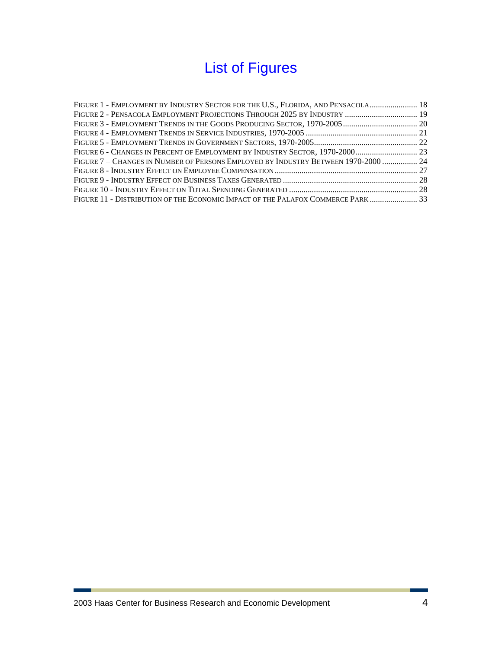# List of Figures

| FIGURE 1 - EMPLOYMENT BY INDUSTRY SECTOR FOR THE U.S., FLORIDA, AND PENSACOLA 18   |  |
|------------------------------------------------------------------------------------|--|
|                                                                                    |  |
|                                                                                    |  |
|                                                                                    |  |
|                                                                                    |  |
|                                                                                    |  |
| FIGURE 7 – CHANGES IN NUMBER OF PERSONS EMPLOYED BY INDUSTRY BETWEEN 1970-2000  24 |  |
|                                                                                    |  |
|                                                                                    |  |
|                                                                                    |  |
| FIGURE 11 - DISTRIBUTION OF THE ECONOMIC IMPACT OF THE PALAFOX COMMERCE PARK 33    |  |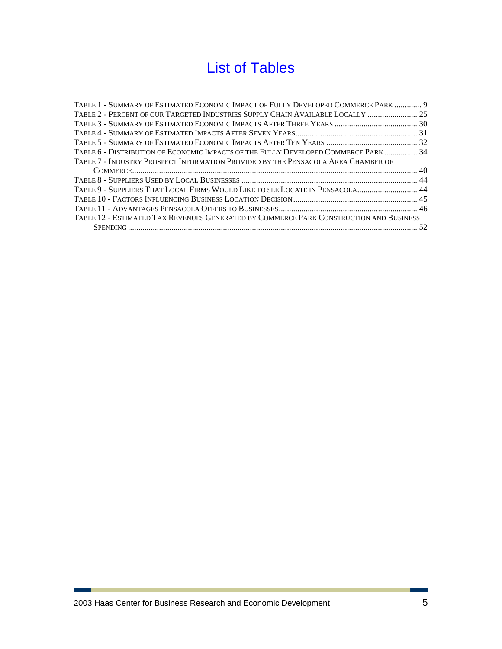# List of Tables

| TABLE 1 - SUMMARY OF ESTIMATED ECONOMIC IMPACT OF FULLY DEVELOPED COMMERCE PARK  9     |  |
|----------------------------------------------------------------------------------------|--|
| TABLE 2 - PERCENT OF OUR TARGETED INDUSTRIES SUPPLY CHAIN AVAILABLE LOCALLY  25        |  |
|                                                                                        |  |
|                                                                                        |  |
|                                                                                        |  |
| TABLE 6 - DISTRIBUTION OF ECONOMIC IMPACTS OF THE FULLY DEVELOPED COMMERCE PARK 34     |  |
| TABLE 7 - INDUSTRY PROSPECT INFORMATION PROVIDED BY THE PENSACOLA AREA CHAMBER OF      |  |
|                                                                                        |  |
|                                                                                        |  |
| TABLE 9 - SUPPLIERS THAT LOCAL FIRMS WOULD LIKE TO SEE LOCATE IN PENSACOLA 44          |  |
|                                                                                        |  |
|                                                                                        |  |
| TABLE 12 - ESTIMATED TAX REVENUES GENERATED BY COMMERCE PARK CONSTRUCTION AND BUSINESS |  |
|                                                                                        |  |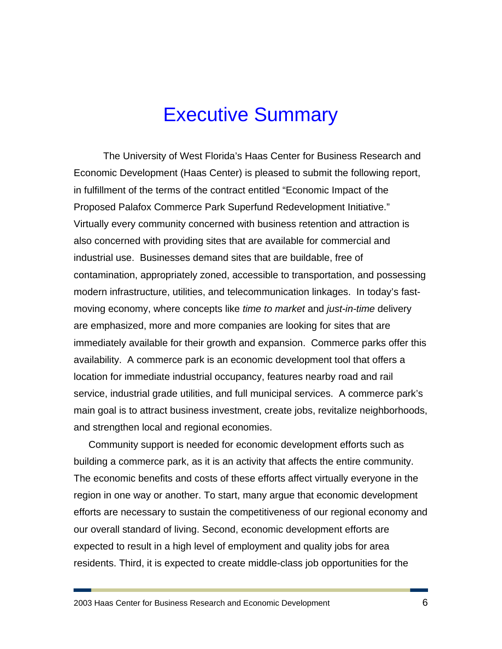# Executive Summary

The University of West Florida's Haas Center for Business Research and Economic Development (Haas Center) is pleased to submit the following report, in fulfillment of the terms of the contract entitled "Economic Impact of the Proposed Palafox Commerce Park Superfund Redevelopment Initiative." Virtually every community concerned with business retention and attraction is also concerned with providing sites that are available for commercial and industrial use. Businesses demand sites that are buildable, free of contamination, appropriately zoned, accessible to transportation, and possessing modern infrastructure, utilities, and telecommunication linkages. In today's fastmoving economy, where concepts like *time to market* and *just-in-time* delivery are emphasized, more and more companies are looking for sites that are immediately available for their growth and expansion. Commerce parks offer this availability. A commerce park is an economic development tool that offers a location for immediate industrial occupancy, features nearby road and rail service, industrial grade utilities, and full municipal services. A commerce park's main goal is to attract business investment, create jobs, revitalize neighborhoods, and strengthen local and regional economies.

Community support is needed for economic development efforts such as building a commerce park, as it is an activity that affects the entire community. The economic benefits and costs of these efforts affect virtually everyone in the region in one way or another. To start, many argue that economic development efforts are necessary to sustain the competitiveness of our regional economy and our overall standard of living. Second, economic development efforts are expected to result in a high level of employment and quality jobs for area residents. Third, it is expected to create middle-class job opportunities for the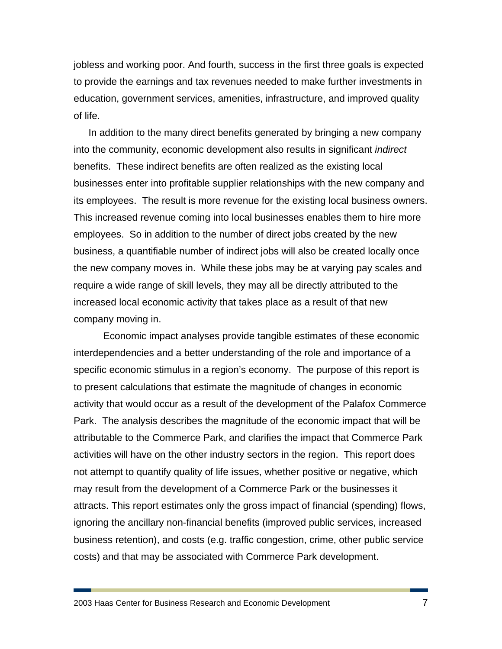jobless and working poor. And fourth, success in the first three goals is expected to provide the earnings and tax revenues needed to make further investments in education, government services, amenities, infrastructure, and improved quality of life.

In addition to the many direct benefits generated by bringing a new company into the community, economic development also results in significant *indirect* benefits. These indirect benefits are often realized as the existing local businesses enter into profitable supplier relationships with the new company and its employees. The result is more revenue for the existing local business owners. This increased revenue coming into local businesses enables them to hire more employees. So in addition to the number of direct jobs created by the new business, a quantifiable number of indirect jobs will also be created locally once the new company moves in. While these jobs may be at varying pay scales and require a wide range of skill levels, they may all be directly attributed to the increased local economic activity that takes place as a result of that new company moving in.

Economic impact analyses provide tangible estimates of these economic interdependencies and a better understanding of the role and importance of a specific economic stimulus in a region's economy. The purpose of this report is to present calculations that estimate the magnitude of changes in economic activity that would occur as a result of the development of the Palafox Commerce Park. The analysis describes the magnitude of the economic impact that will be attributable to the Commerce Park, and clarifies the impact that Commerce Park activities will have on the other industry sectors in the region. This report does not attempt to quantify quality of life issues, whether positive or negative, which may result from the development of a Commerce Park or the businesses it attracts. This report estimates only the gross impact of financial (spending) flows, ignoring the ancillary non-financial benefits (improved public services, increased business retention), and costs (e.g. traffic congestion, crime, other public service costs) and that may be associated with Commerce Park development.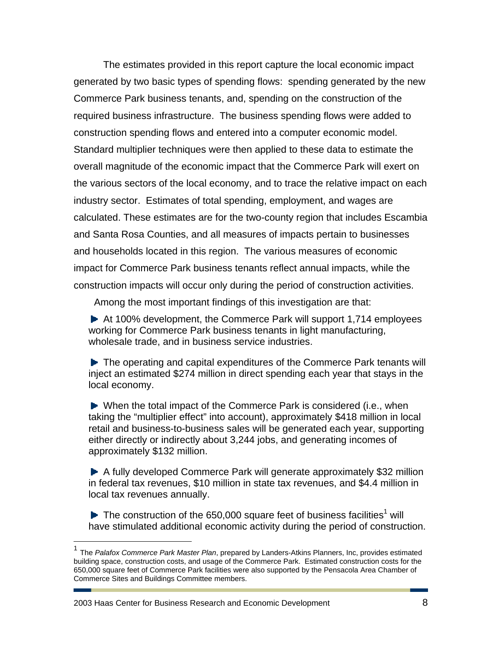The estimates provided in this report capture the local economic impact generated by two basic types of spending flows: spending generated by the new Commerce Park business tenants, and, spending on the construction of the required business infrastructure. The business spending flows were added to construction spending flows and entered into a computer economic model. Standard multiplier techniques were then applied to these data to estimate the overall magnitude of the economic impact that the Commerce Park will exert on the various sectors of the local economy, and to trace the relative impact on each industry sector. Estimates of total spending, employment, and wages are calculated. These estimates are for the two-county region that includes Escambia and Santa Rosa Counties, and all measures of impacts pertain to businesses and households located in this region. The various measures of economic impact for Commerce Park business tenants reflect annual impacts, while the construction impacts will occur only during the period of construction activities.

Among the most important findings of this investigation are that:

 $\blacktriangleright$  At 100% development, the Commerce Park will support 1,714 employees working for Commerce Park business tenants in light manufacturing, wholesale trade, and in business service industries.

▶ The operating and capital expenditures of the Commerce Park tenants will inject an estimated \$274 million in direct spending each year that stays in the local economy.

When the total impact of the Commerce Park is considered (i.e., when taking the "multiplier effect" into account), approximately \$418 million in local retail and business-to-business sales will be generated each year, supporting either directly or indirectly about 3,244 jobs, and generating incomes of approximately \$132 million.

A fully developed Commerce Park will generate approximately \$32 million in federal tax revenues, \$10 million in state tax revenues, and \$4.4 million in local tax revenues annually.

The construction of the 650,000 square feet of business facilities<sup>1</sup> will have stimulated additional economic activity during the period of construction.

2003 Haas Center for Business Research and Economic Development 8

 $\overline{a}$ 

<sup>1</sup> The *Palafox Commerce Park Master Plan*, prepared by Landers-Atkins Planners, Inc, provides estimated building space, construction costs, and usage of the Commerce Park. Estimated construction costs for the 650,000 square feet of Commerce Park facilities were also supported by the Pensacola Area Chamber of Commerce Sites and Buildings Committee members.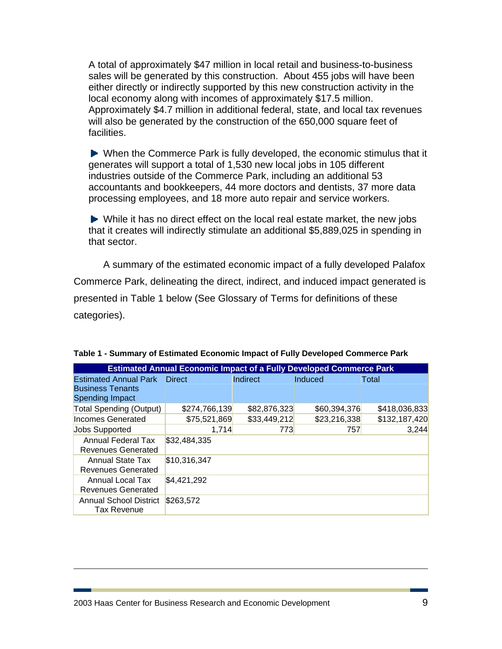A total of approximately \$47 million in local retail and business-to-business sales will be generated by this construction. About 455 jobs will have been either directly or indirectly supported by this new construction activity in the local economy along with incomes of approximately \$17.5 million. Approximately \$4.7 million in additional federal, state, and local tax revenues will also be generated by the construction of the 650,000 square feet of facilities.

▶ When the Commerce Park is fully developed, the economic stimulus that it generates will support a total of 1,530 new local jobs in 105 different industries outside of the Commerce Park, including an additional 53 accountants and bookkeepers, 44 more doctors and dentists, 37 more data processing employees, and 18 more auto repair and service workers.

While it has no direct effect on the local real estate market, the new jobs that it creates will indirectly stimulate an additional \$5,889,025 in spending in that sector.

A summary of the estimated economic impact of a fully developed Palafox Commerce Park, delineating the direct, indirect, and induced impact generated is presented in Table 1 below (See Glossary of Terms for definitions of these categories).

| <b>Estimated Annual Economic Impact of a Fully Developed Commerce Park</b>        |               |              |              |               |  |  |  |  |
|-----------------------------------------------------------------------------------|---------------|--------------|--------------|---------------|--|--|--|--|
| <b>Estimated Annual Park</b><br><b>Business Tenants</b><br><b>Spending Impact</b> | <b>Direct</b> | Indirect     | Induced      | Total         |  |  |  |  |
| Total Spending (Output)                                                           | \$274,766,139 | \$82,876,323 | \$60,394,376 | \$418,036,833 |  |  |  |  |
| Incomes Generated                                                                 | \$75,521,869  | \$33,449,212 | \$23,216,338 | \$132,187,420 |  |  |  |  |
| <b>Jobs Supported</b>                                                             | 1,714         | 773          | 757          | 3.244         |  |  |  |  |
| <b>Annual Federal Tax</b><br>Revenues Generated                                   | \$32,484,335  |              |              |               |  |  |  |  |
| Annual State Tax<br>Revenues Generated                                            | \$10,316,347  |              |              |               |  |  |  |  |
| Annual Local Tax<br>Revenues Generated                                            | \$4,421,292   |              |              |               |  |  |  |  |
| Annual School District<br>Tax Revenue                                             | \$263,572     |              |              |               |  |  |  |  |

**Table 1 - Summary of Estimated Economic Impact of Fully Developed Commerce Park** 

 $\overline{a}$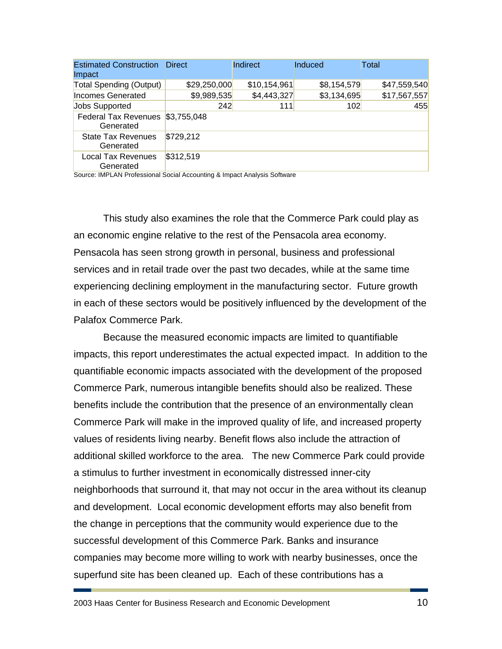| <b>Estimated Construction</b><br>Impact  | <b>Direct</b> | Indirect     | Induced     | Total        |
|------------------------------------------|---------------|--------------|-------------|--------------|
| Total Spending (Output)                  | \$29,250,000  | \$10,154,961 | \$8,154,579 | \$47,559,540 |
| Incomes Generated                        | \$9,989,535   | \$4,443,327  | \$3,134,695 | \$17,567,557 |
| <b>Jobs Supported</b>                    | 242           | 111          | 102         | 455          |
| <b>Federal Tax Revenues</b><br>Generated | \$3,755,048   |              |             |              |
| <b>State Tax Revenues</b><br>Generated   | \$729,212     |              |             |              |
| <b>Local Tax Revenues</b><br>Generated   | \$312,519     |              |             |              |

Source: IMPLAN Professional Social Accounting & Impact Analysis Software

This study also examines the role that the Commerce Park could play as an economic engine relative to the rest of the Pensacola area economy. Pensacola has seen strong growth in personal, business and professional services and in retail trade over the past two decades, while at the same time experiencing declining employment in the manufacturing sector. Future growth in each of these sectors would be positively influenced by the development of the Palafox Commerce Park.

Because the measured economic impacts are limited to quantifiable impacts, this report underestimates the actual expected impact. In addition to the quantifiable economic impacts associated with the development of the proposed Commerce Park, numerous intangible benefits should also be realized. These benefits include the contribution that the presence of an environmentally clean Commerce Park will make in the improved quality of life, and increased property values of residents living nearby. Benefit flows also include the attraction of additional skilled workforce to the area. The new Commerce Park could provide a stimulus to further investment in economically distressed inner-city neighborhoods that surround it, that may not occur in the area without its cleanup and development. Local economic development efforts may also benefit from the change in perceptions that the community would experience due to the successful development of this Commerce Park. Banks and insurance companies may become more willing to work with nearby businesses, once the superfund site has been cleaned up. Each of these contributions has a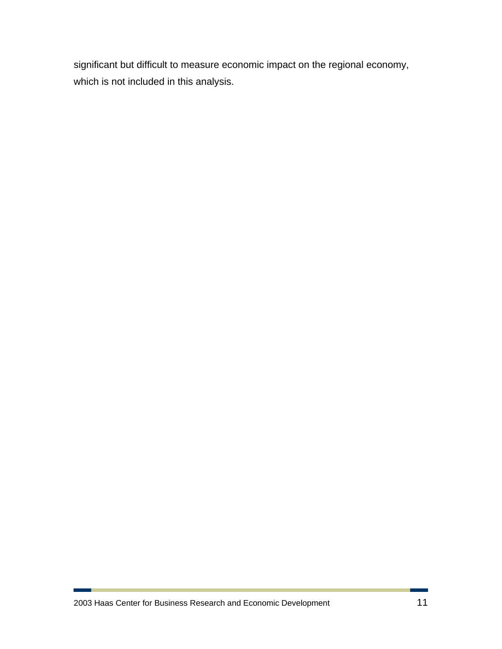significant but difficult to measure economic impact on the regional economy, which is not included in this analysis.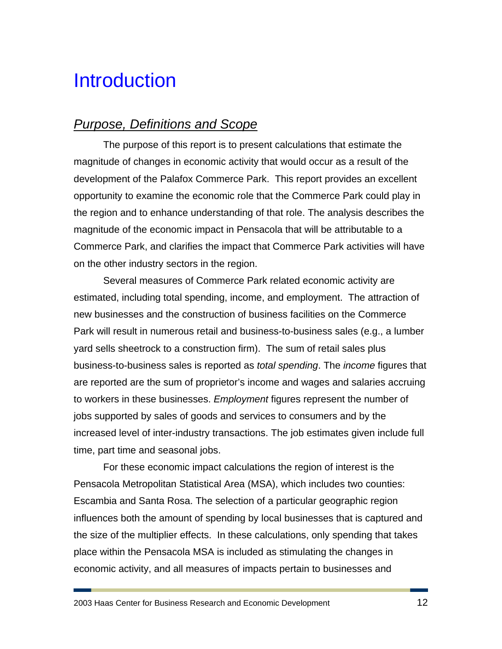# **Introduction**

### *Purpose, Definitions and Scope*

The purpose of this report is to present calculations that estimate the magnitude of changes in economic activity that would occur as a result of the development of the Palafox Commerce Park. This report provides an excellent opportunity to examine the economic role that the Commerce Park could play in the region and to enhance understanding of that role. The analysis describes the magnitude of the economic impact in Pensacola that will be attributable to a Commerce Park, and clarifies the impact that Commerce Park activities will have on the other industry sectors in the region.

Several measures of Commerce Park related economic activity are estimated, including total spending, income, and employment. The attraction of new businesses and the construction of business facilities on the Commerce Park will result in numerous retail and business-to-business sales (e.g., a lumber yard sells sheetrock to a construction firm). The sum of retail sales plus business-to-business sales is reported as *total spending*. The *income* figures that are reported are the sum of proprietor's income and wages and salaries accruing to workers in these businesses. *Employment* figures represent the number of jobs supported by sales of goods and services to consumers and by the increased level of inter-industry transactions. The job estimates given include full time, part time and seasonal jobs.

For these economic impact calculations the region of interest is the Pensacola Metropolitan Statistical Area (MSA), which includes two counties: Escambia and Santa Rosa. The selection of a particular geographic region influences both the amount of spending by local businesses that is captured and the size of the multiplier effects. In these calculations, only spending that takes place within the Pensacola MSA is included as stimulating the changes in economic activity, and all measures of impacts pertain to businesses and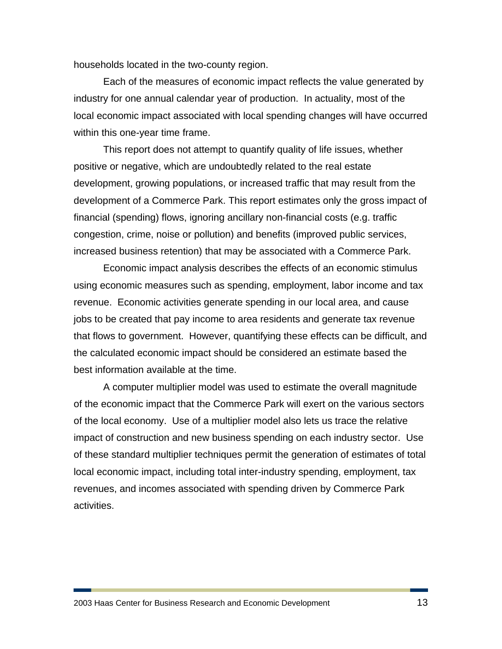households located in the two-county region.

Each of the measures of economic impact reflects the value generated by industry for one annual calendar year of production. In actuality, most of the local economic impact associated with local spending changes will have occurred within this one-year time frame.

This report does not attempt to quantify quality of life issues, whether positive or negative, which are undoubtedly related to the real estate development, growing populations, or increased traffic that may result from the development of a Commerce Park. This report estimates only the gross impact of financial (spending) flows, ignoring ancillary non-financial costs (e.g. traffic congestion, crime, noise or pollution) and benefits (improved public services, increased business retention) that may be associated with a Commerce Park.

Economic impact analysis describes the effects of an economic stimulus using economic measures such as spending, employment, labor income and tax revenue. Economic activities generate spending in our local area, and cause jobs to be created that pay income to area residents and generate tax revenue that flows to government. However, quantifying these effects can be difficult, and the calculated economic impact should be considered an estimate based the best information available at the time.

A computer multiplier model was used to estimate the overall magnitude of the economic impact that the Commerce Park will exert on the various sectors of the local economy. Use of a multiplier model also lets us trace the relative impact of construction and new business spending on each industry sector. Use of these standard multiplier techniques permit the generation of estimates of total local economic impact, including total inter-industry spending, employment, tax revenues, and incomes associated with spending driven by Commerce Park activities.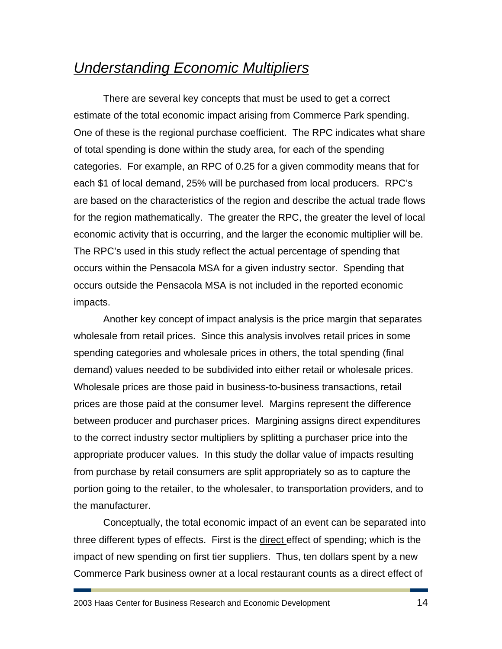## *Understanding Economic Multipliers*

There are several key concepts that must be used to get a correct estimate of the total economic impact arising from Commerce Park spending. One of these is the regional purchase coefficient. The RPC indicates what share of total spending is done within the study area, for each of the spending categories. For example, an RPC of 0.25 for a given commodity means that for each \$1 of local demand, 25% will be purchased from local producers. RPC's are based on the characteristics of the region and describe the actual trade flows for the region mathematically. The greater the RPC, the greater the level of local economic activity that is occurring, and the larger the economic multiplier will be. The RPC's used in this study reflect the actual percentage of spending that occurs within the Pensacola MSA for a given industry sector. Spending that occurs outside the Pensacola MSA is not included in the reported economic impacts.

Another key concept of impact analysis is the price margin that separates wholesale from retail prices. Since this analysis involves retail prices in some spending categories and wholesale prices in others, the total spending (final demand) values needed to be subdivided into either retail or wholesale prices. Wholesale prices are those paid in business-to-business transactions, retail prices are those paid at the consumer level. Margins represent the difference between producer and purchaser prices. Margining assigns direct expenditures to the correct industry sector multipliers by splitting a purchaser price into the appropriate producer values. In this study the dollar value of impacts resulting from purchase by retail consumers are split appropriately so as to capture the portion going to the retailer, to the wholesaler, to transportation providers, and to the manufacturer.

Conceptually, the total economic impact of an event can be separated into three different types of effects. First is the direct effect of spending; which is the impact of new spending on first tier suppliers. Thus, ten dollars spent by a new Commerce Park business owner at a local restaurant counts as a direct effect of

2003 Haas Center for Business Research and Economic Development 14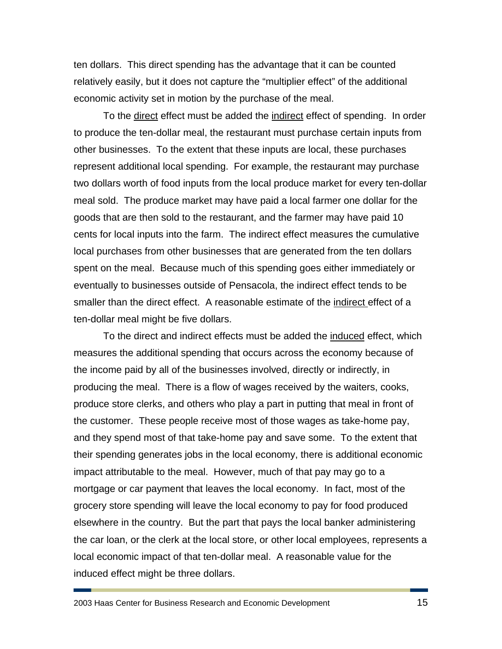ten dollars. This direct spending has the advantage that it can be counted relatively easily, but it does not capture the "multiplier effect" of the additional economic activity set in motion by the purchase of the meal.

To the direct effect must be added the indirect effect of spending. In order to produce the ten-dollar meal, the restaurant must purchase certain inputs from other businesses. To the extent that these inputs are local, these purchases represent additional local spending. For example, the restaurant may purchase two dollars worth of food inputs from the local produce market for every ten-dollar meal sold. The produce market may have paid a local farmer one dollar for the goods that are then sold to the restaurant, and the farmer may have paid 10 cents for local inputs into the farm. The indirect effect measures the cumulative local purchases from other businesses that are generated from the ten dollars spent on the meal. Because much of this spending goes either immediately or eventually to businesses outside of Pensacola, the indirect effect tends to be smaller than the direct effect. A reasonable estimate of the indirect effect of a ten-dollar meal might be five dollars.

To the direct and indirect effects must be added the induced effect, which measures the additional spending that occurs across the economy because of the income paid by all of the businesses involved, directly or indirectly, in producing the meal. There is a flow of wages received by the waiters, cooks, produce store clerks, and others who play a part in putting that meal in front of the customer. These people receive most of those wages as take-home pay, and they spend most of that take-home pay and save some. To the extent that their spending generates jobs in the local economy, there is additional economic impact attributable to the meal. However, much of that pay may go to a mortgage or car payment that leaves the local economy. In fact, most of the grocery store spending will leave the local economy to pay for food produced elsewhere in the country. But the part that pays the local banker administering the car loan, or the clerk at the local store, or other local employees, represents a local economic impact of that ten-dollar meal. A reasonable value for the induced effect might be three dollars.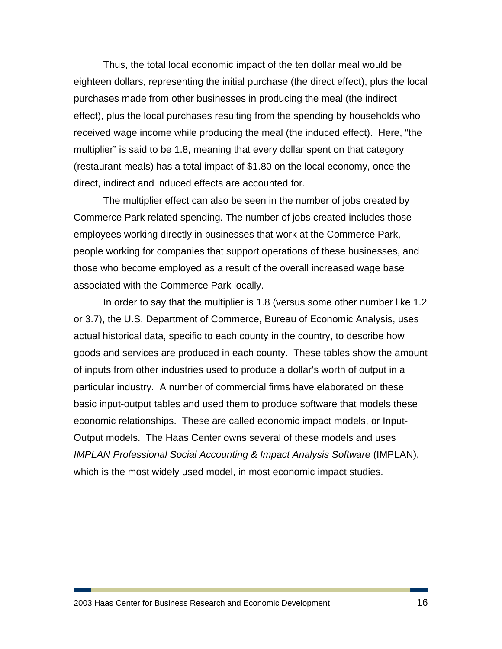Thus, the total local economic impact of the ten dollar meal would be eighteen dollars, representing the initial purchase (the direct effect), plus the local purchases made from other businesses in producing the meal (the indirect effect), plus the local purchases resulting from the spending by households who received wage income while producing the meal (the induced effect). Here, "the multiplier" is said to be 1.8, meaning that every dollar spent on that category (restaurant meals) has a total impact of \$1.80 on the local economy, once the direct, indirect and induced effects are accounted for.

The multiplier effect can also be seen in the number of jobs created by Commerce Park related spending. The number of jobs created includes those employees working directly in businesses that work at the Commerce Park, people working for companies that support operations of these businesses, and those who become employed as a result of the overall increased wage base associated with the Commerce Park locally.

In order to say that the multiplier is 1.8 (versus some other number like 1.2 or 3.7), the U.S. Department of Commerce, Bureau of Economic Analysis, uses actual historical data, specific to each county in the country, to describe how goods and services are produced in each county. These tables show the amount of inputs from other industries used to produce a dollar's worth of output in a particular industry. A number of commercial firms have elaborated on these basic input-output tables and used them to produce software that models these economic relationships. These are called economic impact models, or Input-Output models. The Haas Center owns several of these models and uses *IMPLAN Professional Social Accounting & Impact Analysis Software* (IMPLAN), which is the most widely used model, in most economic impact studies.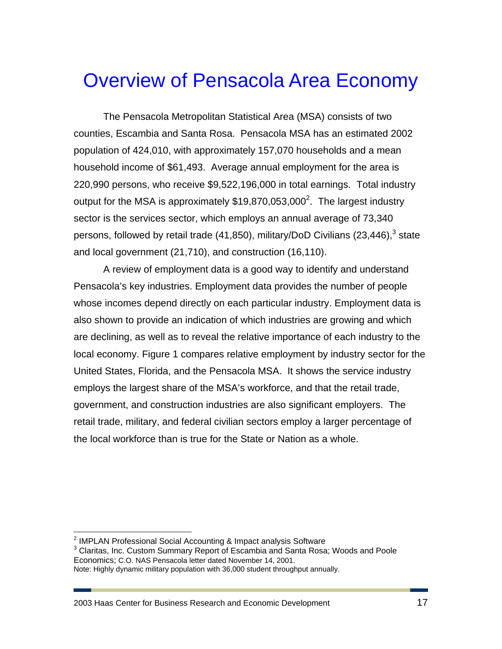# Overview of Pensacola Area Economy

The Pensacola Metropolitan Statistical Area (MSA) consists of two counties, Escambia and Santa Rosa. Pensacola MSA has an estimated 2002 population of 424,010, with approximately 157,070 households and a mean household income of \$61,493. Average annual employment for the area is 220,990 persons, who receive \$9,522,196,000 in total earnings. Total industry output for the MSA is approximately  $$19,870,053,000^2$ . The largest industry sector is the services sector, which employs an annual average of 73,340 persons, followed by retail trade (41,850), military/DoD Civilians (23,446), $3$  state and local government (21,710), and construction (16,110).

A review of employment data is a good way to identify and understand Pensacola's key industries. Employment data provides the number of people whose incomes depend directly on each particular industry. Employment data is also shown to provide an indication of which industries are growing and which are declining, as well as to reveal the relative importance of each industry to the local economy. Figure 1 compares relative employment by industry sector for the United States, Florida, and the Pensacola MSA. It shows the service industry employs the largest share of the MSA's workforce, and that the retail trade, government, and construction industries are also significant employers. The retail trade, military, and federal civilian sectors employ a larger percentage of the local workforce than is true for the State or Nation as a whole.

 $\overline{a}$ 

<sup>&</sup>lt;sup>2</sup> IMPLAN Professional Social Accounting & Impact analysis Software 3<br>3 Cleritos, Inc. Cuptom Summary Benert of Escombia and Santa Bene

<sup>&</sup>lt;sup>3</sup> Claritas, Inc. Custom Summary Report of Escambia and Santa Rosa; Woods and Poole Economics; C.O. NAS Pensacola letter dated November 14, 2001.

Note: Highly dynamic military population with 36,000 student throughput annually.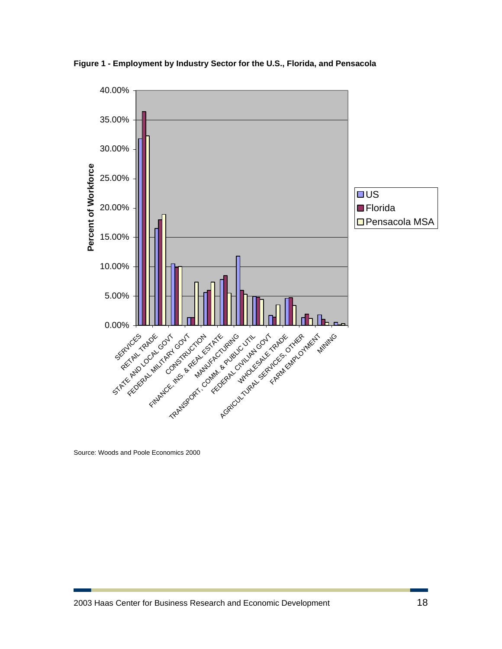

**Figure 1 - Employment by Industry Sector for the U.S., Florida, and Pensacola** 

Source: Woods and Poole Economics 2000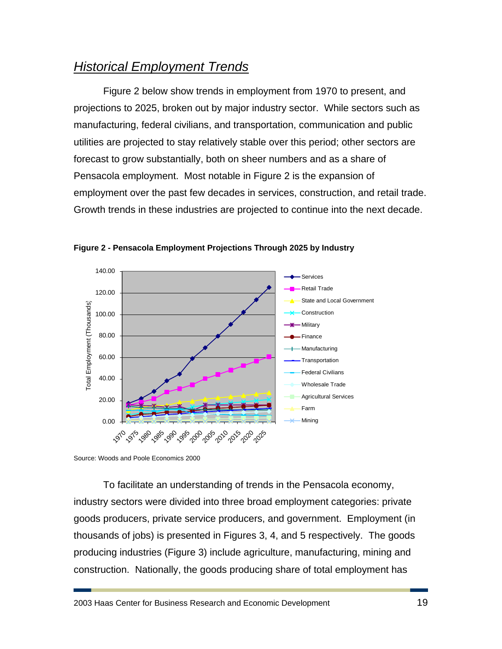## *Historical Employment Trends*

Figure 2 below show trends in employment from 1970 to present, and projections to 2025, broken out by major industry sector. While sectors such as manufacturing, federal civilians, and transportation, communication and public utilities are projected to stay relatively stable over this period; other sectors are forecast to grow substantially, both on sheer numbers and as a share of Pensacola employment. Most notable in Figure 2 is the expansion of employment over the past few decades in services, construction, and retail trade. Growth trends in these industries are projected to continue into the next decade.



**Figure 2 - Pensacola Employment Projections Through 2025 by Industry** 

Source: Woods and Poole Economics 2000

To facilitate an understanding of trends in the Pensacola economy, industry sectors were divided into three broad employment categories: private goods producers, private service producers, and government. Employment (in thousands of jobs) is presented in Figures 3, 4, and 5 respectively. The goods producing industries (Figure 3) include agriculture, manufacturing, mining and construction. Nationally, the goods producing share of total employment has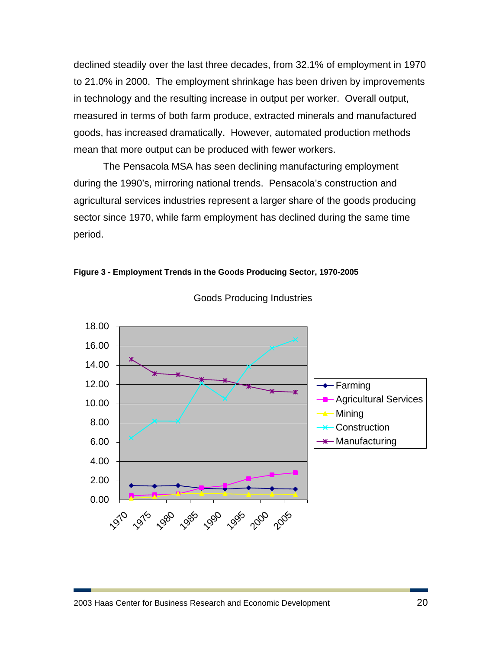declined steadily over the last three decades, from 32.1% of employment in 1970 to 21.0% in 2000. The employment shrinkage has been driven by improvements in technology and the resulting increase in output per worker. Overall output, measured in terms of both farm produce, extracted minerals and manufactured goods, has increased dramatically. However, automated production methods mean that more output can be produced with fewer workers.

The Pensacola MSA has seen declining manufacturing employment during the 1990's, mirroring national trends. Pensacola's construction and agricultural services industries represent a larger share of the goods producing sector since 1970, while farm employment has declined during the same time period.





Goods Producing Industries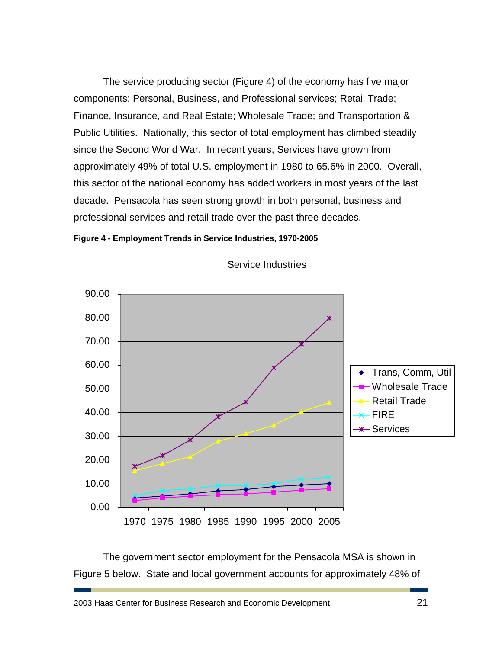The service producing sector (Figure 4) of the economy has five major components: Personal, Business, and Professional services; Retail Trade; Finance, Insurance, and Real Estate; Wholesale Trade; and Transportation & Public Utilities. Nationally, this sector of total employment has climbed steadily since the Second World War. In recent years, Services have grown from approximately 49% of total U.S. employment in 1980 to 65.6% in 2000. Overall, this sector of the national economy has added workers in most years of the last decade. Pensacola has seen strong growth in both personal, business and professional services and retail trade over the past three decades.





Service Industries

The government sector employment for the Pensacola MSA is shown in Figure 5 below. State and local government accounts for approximately 48% of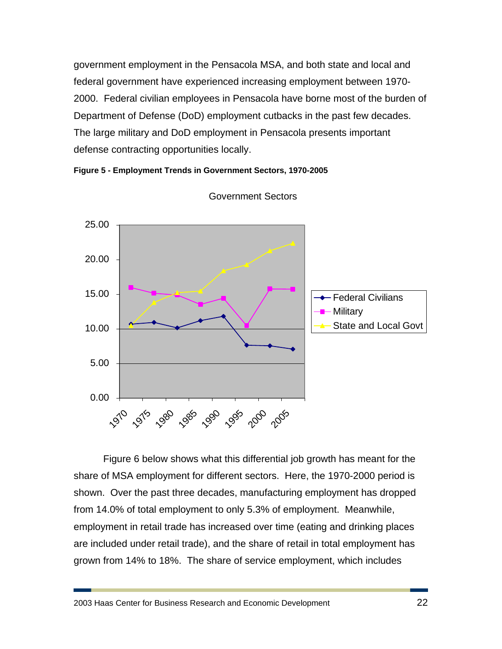government employment in the Pensacola MSA, and both state and local and federal government have experienced increasing employment between 1970- 2000. Federal civilian employees in Pensacola have borne most of the burden of Department of Defense (DoD) employment cutbacks in the past few decades. The large military and DoD employment in Pensacola presents important defense contracting opportunities locally.





Government Sectors

Figure 6 below shows what this differential job growth has meant for the share of MSA employment for different sectors. Here, the 1970-2000 period is shown. Over the past three decades, manufacturing employment has dropped from 14.0% of total employment to only 5.3% of employment. Meanwhile, employment in retail trade has increased over time (eating and drinking places are included under retail trade), and the share of retail in total employment has grown from 14% to 18%. The share of service employment, which includes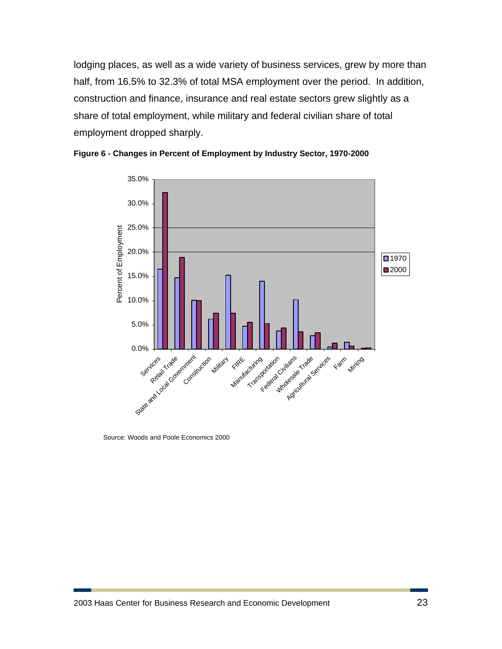lodging places, as well as a wide variety of business services, grew by more than half, from 16.5% to 32.3% of total MSA employment over the period. In addition, construction and finance, insurance and real estate sectors grew slightly as a share of total employment, while military and federal civilian share of total employment dropped sharply.





Source: Woods and Poole Economics 2000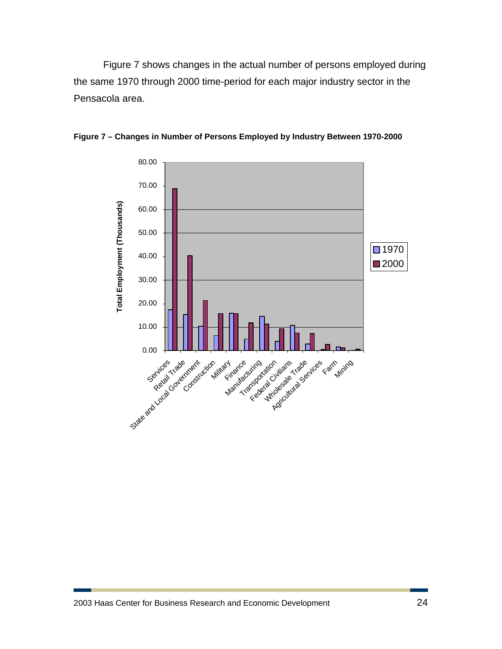Figure 7 shows changes in the actual number of persons employed during the same 1970 through 2000 time-period for each major industry sector in the Pensacola area.



**Figure 7 – Changes in Number of Persons Employed by Industry Between 1970-2000**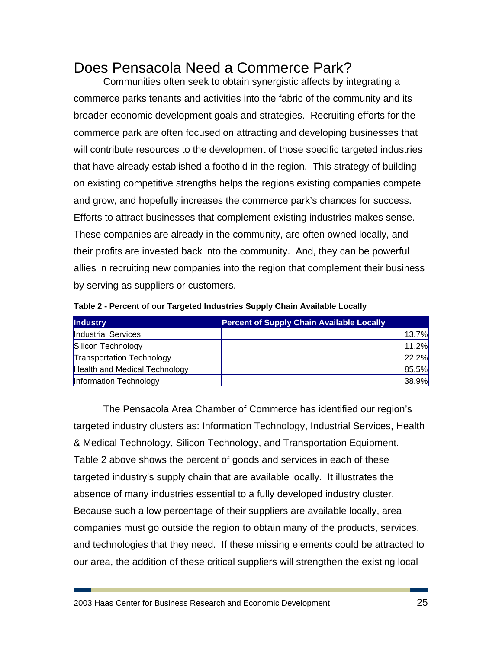## Does Pensacola Need a Commerce Park?

Communities often seek to obtain synergistic affects by integrating a commerce parks tenants and activities into the fabric of the community and its broader economic development goals and strategies. Recruiting efforts for the commerce park are often focused on attracting and developing businesses that will contribute resources to the development of those specific targeted industries that have already established a foothold in the region. This strategy of building on existing competitive strengths helps the regions existing companies compete and grow, and hopefully increases the commerce park's chances for success. Efforts to attract businesses that complement existing industries makes sense. These companies are already in the community, are often owned locally, and their profits are invested back into the community. And, they can be powerful allies in recruiting new companies into the region that complement their business by serving as suppliers or customers.

| <b>Industry</b>                  | <b>Percent of Supply Chain Available Locally</b> |
|----------------------------------|--------------------------------------------------|
| Industrial Services              | 13.7%                                            |
| Silicon Technology               | 11.2%                                            |
| <b>Transportation Technology</b> | 22.2%                                            |
| Health and Medical Technology    | 85.5%                                            |
| Information Technology           | 38.9%                                            |

**Table 2 - Percent of our Targeted Industries Supply Chain Available Locally** 

The Pensacola Area Chamber of Commerce has identified our region's targeted industry clusters as: Information Technology, Industrial Services, Health & Medical Technology, Silicon Technology, and Transportation Equipment. Table 2 above shows the percent of goods and services in each of these targeted industry's supply chain that are available locally. It illustrates the absence of many industries essential to a fully developed industry cluster. Because such a low percentage of their suppliers are available locally, area companies must go outside the region to obtain many of the products, services, and technologies that they need. If these missing elements could be attracted to our area, the addition of these critical suppliers will strengthen the existing local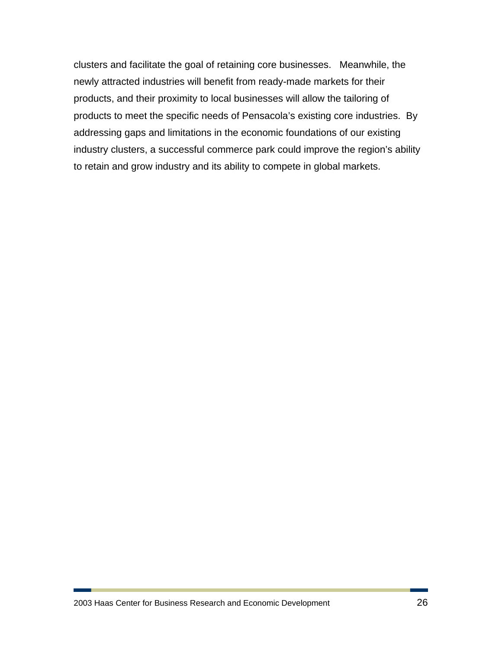clusters and facilitate the goal of retaining core businesses. Meanwhile, the newly attracted industries will benefit from ready-made markets for their products, and their proximity to local businesses will allow the tailoring of products to meet the specific needs of Pensacola's existing core industries. By addressing gaps and limitations in the economic foundations of our existing industry clusters, a successful commerce park could improve the region's ability to retain and grow industry and its ability to compete in global markets.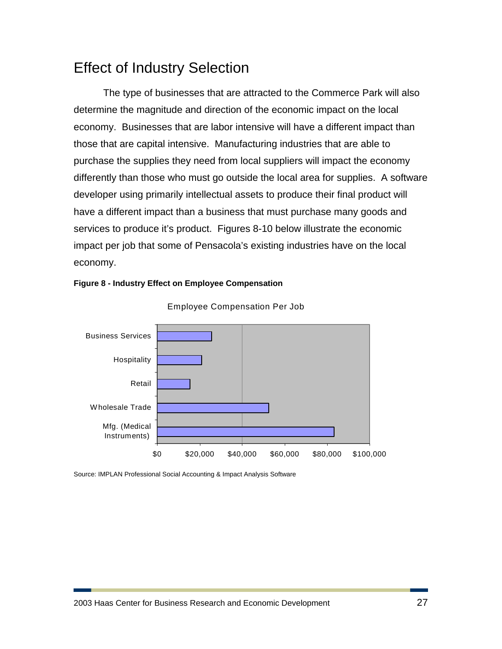## Effect of Industry Selection

The type of businesses that are attracted to the Commerce Park will also determine the magnitude and direction of the economic impact on the local economy. Businesses that are labor intensive will have a different impact than those that are capital intensive. Manufacturing industries that are able to purchase the supplies they need from local suppliers will impact the economy differently than those who must go outside the local area for supplies. A software developer using primarily intellectual assets to produce their final product will have a different impact than a business that must purchase many goods and services to produce it's product. Figures 8-10 below illustrate the economic impact per job that some of Pensacola's existing industries have on the local economy.





Employee Compensation Per Job

Source: IMPLAN Professional Social Accounting & Impact Analysis Software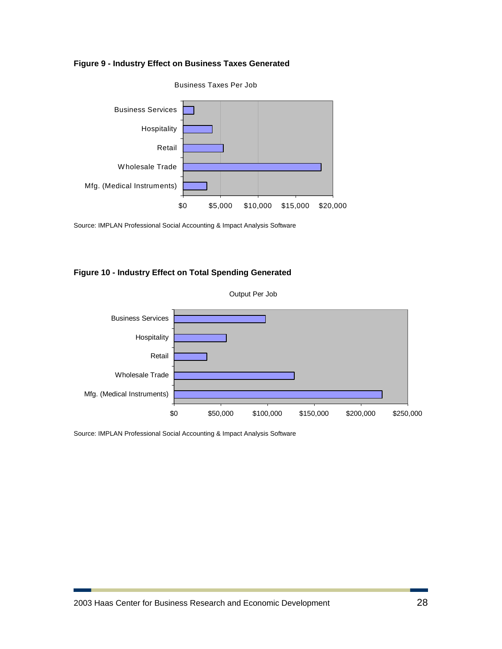



Source: IMPLAN Professional Social Accounting & Impact Analysis Software

#### **Figure 10 - Industry Effect on Total Spending Generated**



Source: IMPLAN Professional Social Accounting & Impact Analysis Software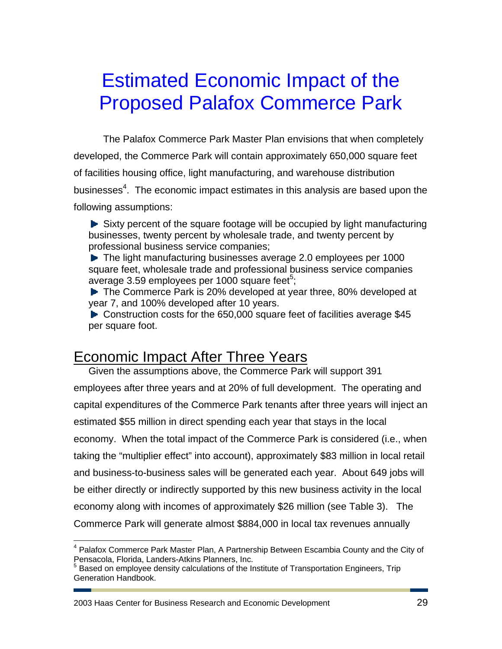# Estimated Economic Impact of the Proposed Palafox Commerce Park

The Palafox Commerce Park Master Plan envisions that when completely developed, the Commerce Park will contain approximately 650,000 square feet of facilities housing office, light manufacturing, and warehouse distribution businesses<sup>4</sup>. The economic impact estimates in this analysis are based upon the following assumptions:

 $\blacktriangleright$  Sixty percent of the square footage will be occupied by light manufacturing businesses, twenty percent by wholesale trade, and twenty percent by professional business service companies;

▶ The light manufacturing businesses average 2.0 employees per 1000 square feet, wholesale trade and professional business service companies average 3.59 employees per 1000 square feet $5$ ;

▶ The Commerce Park is 20% developed at year three, 80% developed at year 7, and 100% developed after 10 years.

► Construction costs for the 650,000 square feet of facilities average \$45 per square foot.

## Economic Impact After Three Years

Given the assumptions above, the Commerce Park will support 391 employees after three years and at 20% of full development. The operating and capital expenditures of the Commerce Park tenants after three years will inject an estimated \$55 million in direct spending each year that stays in the local economy. When the total impact of the Commerce Park is considered (i.e., when taking the "multiplier effect" into account), approximately \$83 million in local retail and business-to-business sales will be generated each year. About 649 jobs will be either directly or indirectly supported by this new business activity in the local economy along with incomes of approximately \$26 million (see Table 3). The Commerce Park will generate almost \$884,000 in local tax revenues annually

2003 Haas Center for Business Research and Economic Development 29

 $\overline{a}$ 

<sup>&</sup>lt;sup>4</sup> Palafox Commerce Park Master Plan, A Partnership Between Escambia County and the City of Pensacola, Florida, Landers-Atkins Planners, Inc.

<sup>&</sup>lt;sup>5</sup> Based on employee density calculations of the Institute of Transportation Engineers, Trip Generation Handbook.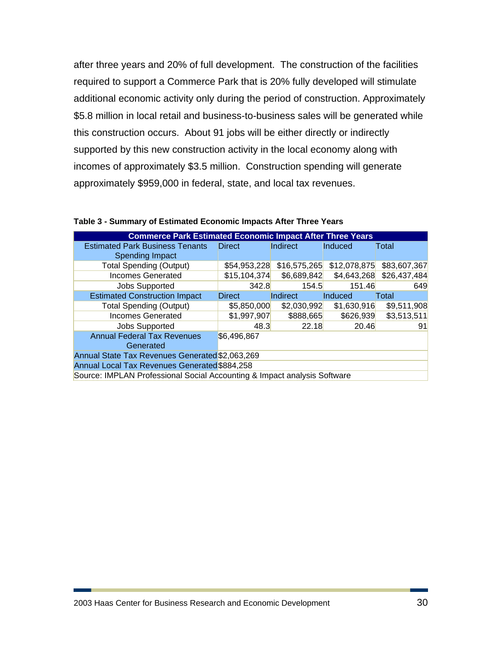after three years and 20% of full development. The construction of the facilities required to support a Commerce Park that is 20% fully developed will stimulate additional economic activity only during the period of construction. Approximately \$5.8 million in local retail and business-to-business sales will be generated while this construction occurs. About 91 jobs will be either directly or indirectly supported by this new construction activity in the local economy along with incomes of approximately \$3.5 million. Construction spending will generate approximately \$959,000 in federal, state, and local tax revenues.

| <b>Commerce Park Estimated Economic Impact After Three Years</b> |                                                                          |              |              |              |  |  |  |  |  |
|------------------------------------------------------------------|--------------------------------------------------------------------------|--------------|--------------|--------------|--|--|--|--|--|
| <b>Estimated Park Business Tenants</b><br><b>Spending Impact</b> | <b>Direct</b>                                                            | Indirect     | Induced      | Total        |  |  |  |  |  |
| <b>Total Spending (Output)</b>                                   | \$54,953,228                                                             | \$16,575,265 | \$12,078,875 | \$83,607,367 |  |  |  |  |  |
| <b>Incomes Generated</b>                                         | \$15,104,374                                                             | \$6,689,842  | \$4,643,268  | \$26,437,484 |  |  |  |  |  |
| <b>Jobs Supported</b>                                            | 342.8                                                                    | 154.5        | 151.46       | 649          |  |  |  |  |  |
| <b>Estimated Construction Impact</b>                             | <b>Direct</b>                                                            | Indirect     | Induced      | Total        |  |  |  |  |  |
| <b>Total Spending (Output)</b>                                   | \$5,850,000                                                              | \$2,030,992  | \$1,630,916  | \$9,511,908  |  |  |  |  |  |
| <b>Incomes Generated</b>                                         | \$1,997,907                                                              | \$888,665    | \$626,939    | \$3,513,511  |  |  |  |  |  |
| <b>Jobs Supported</b>                                            | 48.3                                                                     | 22.18        | 20.46        | 91           |  |  |  |  |  |
| <b>Annual Federal Tax Revenues</b><br>\$6,496,867<br>Generated   |                                                                          |              |              |              |  |  |  |  |  |
| Annual State Tax Revenues Generated \$2,063,269                  |                                                                          |              |              |              |  |  |  |  |  |
| Annual Local Tax Revenues Generated \$884,258                    |                                                                          |              |              |              |  |  |  |  |  |
|                                                                  | Source: IMPLAN Professional Social Accounting & Impact analysis Software |              |              |              |  |  |  |  |  |

**Table 3 - Summary of Estimated Economic Impacts After Three Years**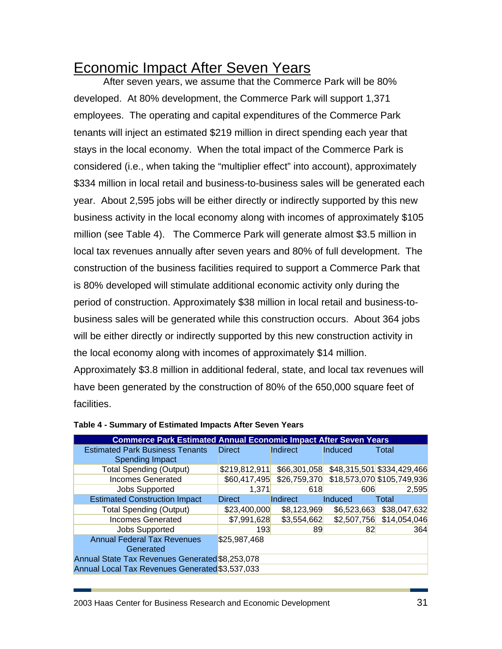## Economic Impact After Seven Years

After seven years, we assume that the Commerce Park will be 80% developed. At 80% development, the Commerce Park will support 1,371 employees. The operating and capital expenditures of the Commerce Park tenants will inject an estimated \$219 million in direct spending each year that stays in the local economy. When the total impact of the Commerce Park is considered (i.e., when taking the "multiplier effect" into account), approximately \$334 million in local retail and business-to-business sales will be generated each year. About 2,595 jobs will be either directly or indirectly supported by this new business activity in the local economy along with incomes of approximately \$105 million (see Table 4). The Commerce Park will generate almost \$3.5 million in local tax revenues annually after seven years and 80% of full development. The construction of the business facilities required to support a Commerce Park that is 80% developed will stimulate additional economic activity only during the period of construction. Approximately \$38 million in local retail and business-tobusiness sales will be generated while this construction occurs. About 364 jobs will be either directly or indirectly supported by this new construction activity in the local economy along with incomes of approximately \$14 million.

Approximately \$3.8 million in additional federal, state, and local tax revenues will have been generated by the construction of 80% of the 650,000 square feet of facilities.

| <b>Commerce Park Estimated Annual Economic Impact After Seven Years</b> |               |              |             |                            |  |  |  |
|-------------------------------------------------------------------------|---------------|--------------|-------------|----------------------------|--|--|--|
| <b>Estimated Park Business Tenants</b>                                  | <b>Direct</b> | Indirect     | Induced     | Total                      |  |  |  |
| Spending Impact                                                         |               |              |             |                            |  |  |  |
| <b>Total Spending (Output)</b>                                          | \$219,812,911 | \$66,301,058 |             | \$48,315,501 \$334,429,466 |  |  |  |
| <b>Incomes Generated</b>                                                | \$60,417,495  | \$26,759,370 |             | \$18,573,070 \$105,749,936 |  |  |  |
| <b>Jobs Supported</b>                                                   | 1,371         | 618          | 606         | 2,595                      |  |  |  |
| <b>Estimated Construction Impact</b>                                    | <b>Direct</b> | Indirect     | Induced     | Total                      |  |  |  |
| <b>Total Spending (Output)</b>                                          | \$23,400,000  | \$8,123,969  | \$6,523,663 | \$38,047,632               |  |  |  |
| <b>Incomes Generated</b>                                                | \$7,991,628   | \$3,554,662  | \$2,507,756 | \$14,054,046               |  |  |  |
| <b>Jobs Supported</b>                                                   | 193           | 89           | 82          | 364                        |  |  |  |
| <b>Annual Federal Tax Revenues</b>                                      | \$25,987,468  |              |             |                            |  |  |  |
| Generated                                                               |               |              |             |                            |  |  |  |
| Annual State Tax Revenues Generated \$8,253,078                         |               |              |             |                            |  |  |  |
| Annual Local Tax Revenues Generated \$3,537,033                         |               |              |             |                            |  |  |  |

#### **Table 4 - Summary of Estimated Impacts After Seven Years**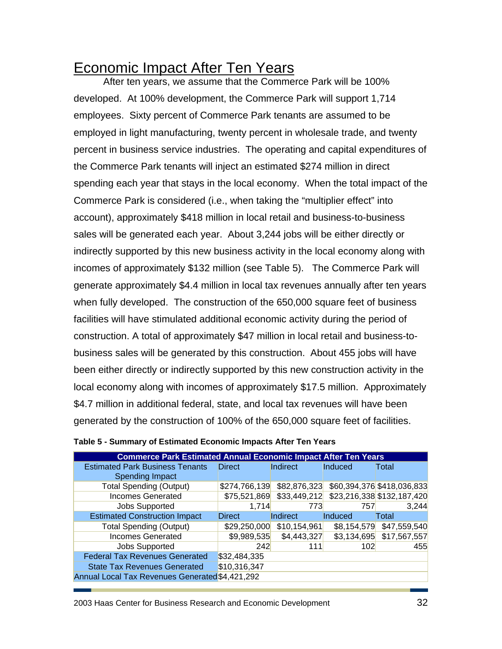## Economic Impact After Ten Years

After ten years, we assume that the Commerce Park will be 100% developed. At 100% development, the Commerce Park will support 1,714 employees. Sixty percent of Commerce Park tenants are assumed to be employed in light manufacturing, twenty percent in wholesale trade, and twenty percent in business service industries. The operating and capital expenditures of the Commerce Park tenants will inject an estimated \$274 million in direct spending each year that stays in the local economy. When the total impact of the Commerce Park is considered (i.e., when taking the "multiplier effect" into account), approximately \$418 million in local retail and business-to-business sales will be generated each year. About 3,244 jobs will be either directly or indirectly supported by this new business activity in the local economy along with incomes of approximately \$132 million (see Table 5). The Commerce Park will generate approximately \$4.4 million in local tax revenues annually after ten years when fully developed. The construction of the 650,000 square feet of business facilities will have stimulated additional economic activity during the period of construction. A total of approximately \$47 million in local retail and business-tobusiness sales will be generated by this construction. About 455 jobs will have been either directly or indirectly supported by this new construction activity in the local economy along with incomes of approximately \$17.5 million. Approximately \$4.7 million in additional federal, state, and local tax revenues will have been generated by the construction of 100% of the 650,000 square feet of facilities.

| <b>Commerce Park Estimated Annual Economic Impact After Ten Years</b> |               |              |             |                            |  |  |
|-----------------------------------------------------------------------|---------------|--------------|-------------|----------------------------|--|--|
| <b>Estimated Park Business Tenants</b>                                | <b>Direct</b> | Indirect     | Induced     | Total                      |  |  |
| Spending Impact                                                       |               |              |             |                            |  |  |
| <b>Total Spending (Output)</b>                                        | \$274,766,139 | \$82,876,323 |             | \$60,394,376 \$418,036,833 |  |  |
| <b>Incomes Generated</b>                                              | \$75,521,869  | \$33,449,212 |             | \$23,216,338 \$132,187,420 |  |  |
| <b>Jobs Supported</b>                                                 | 1,714         | 773          | 757         | 3,244                      |  |  |
| <b>Estimated Construction Impact</b>                                  | <b>Direct</b> | Indirect     | Induced     | Total                      |  |  |
| <b>Total Spending (Output)</b>                                        | \$29,250,000  | \$10,154,961 | \$8,154,579 | \$47,559,540               |  |  |
| <b>Incomes Generated</b>                                              | \$9,989,535   | \$4,443,327  | \$3,134,695 | \$17,567,557               |  |  |
| Jobs Supported                                                        | 242           | 111          | 102         | 455                        |  |  |
| <b>Federal Tax Revenues Generated</b>                                 | \$32,484,335  |              |             |                            |  |  |
| <b>State Tax Revenues Generated</b>                                   | \$10,316,347  |              |             |                            |  |  |
| Annual Local Tax Revenues Generated \$4,421,292                       |               |              |             |                            |  |  |

### **Table 5 - Summary of Estimated Economic Impacts After Ten Years**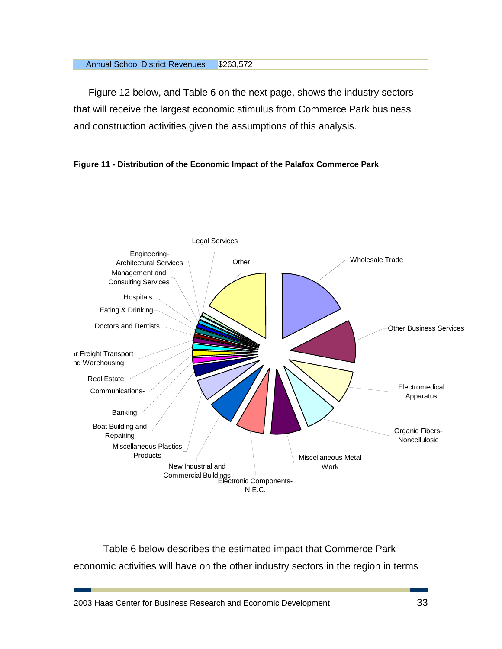#### Annual School District Revenues \$263,572

Figure 12 below, and Table 6 on the next page, shows the industry sectors that will receive the largest economic stimulus from Commerce Park business and construction activities given the assumptions of this analysis.





Table 6 below describes the estimated impact that Commerce Park economic activities will have on the other industry sectors in the region in terms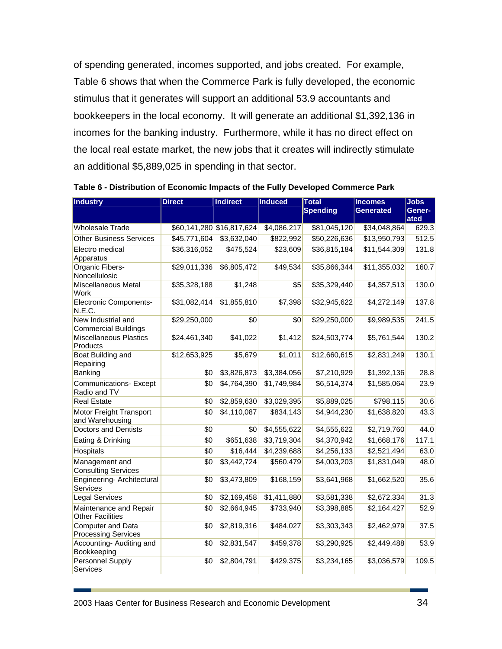of spending generated, incomes supported, and jobs created. For example, Table 6 shows that when the Commerce Park is fully developed, the economic stimulus that it generates will support an additional 53.9 accountants and bookkeepers in the local economy. It will generate an additional \$1,392,136 in incomes for the banking industry. Furthermore, while it has no direct effect on the local real estate market, the new jobs that it creates will indirectly stimulate an additional \$5,889,025 in spending in that sector.

| Industry                                          | <b>Direct</b> | <b>Indirect</b>           | <b>Induced</b> | <b>Total</b><br><b>Spending</b> | <b>Incomes</b><br>Generated | <b>Jobs</b><br><b>Gener-</b><br>ated |
|---------------------------------------------------|---------------|---------------------------|----------------|---------------------------------|-----------------------------|--------------------------------------|
| <b>Wholesale Trade</b>                            |               | \$60,141,280 \$16,817,624 | \$4,086,217    | \$81,045,120                    | \$34,048,864                | 629.3                                |
| <b>Other Business Services</b>                    | \$45,771,604  | \$3,632,040               | \$822,992      | \$50,226,636                    | \$13,950,793                | 512.5                                |
| Electro medical<br>Apparatus                      | \$36,316,052  | \$475,524                 | \$23,609       | \$36,815,184                    | \$11,544,309                | 131.8                                |
| Organic Fibers-<br>Noncellulosic                  | \$29,011,336  | \$6,805,472               | \$49,534       | \$35,866,344                    | \$11,355,032                | 160.7                                |
| Miscellaneous Metal<br>Work                       | \$35,328,188  | \$1,248                   | \$5            | \$35,329,440                    | \$4,357,513                 | 130.0                                |
| <b>Electronic Components-</b><br>N.E.C.           | \$31,082,414  | \$1,855,810               | \$7,398        | \$32,945,622                    | \$4,272,149                 | 137.8                                |
| New Industrial and<br><b>Commercial Buildings</b> | \$29,250,000  | \$0                       | \$0            | \$29,250,000                    | \$9,989,535                 | 241.5                                |
| <b>Miscellaneous Plastics</b><br>Products         | \$24,461,340  | \$41,022                  | \$1,412        | \$24,503,774                    | \$5,761,544                 | 130.2                                |
| Boat Building and<br>Repairing                    | \$12,653,925  | \$5,679                   | \$1,011        | \$12,660,615                    | \$2,831,249                 | 130.1                                |
| Banking                                           | \$0           | \$3,826,873               | \$3,384,056    | \$7,210,929                     | \$1,392,136                 | 28.8                                 |
| <b>Communications-Except</b><br>Radio and TV      | \$0           | \$4,764,390               | \$1,749,984    | \$6,514,374                     | \$1,585,064                 | 23.9                                 |
| <b>Real Estate</b>                                | \$0           | \$2,859,630               | \$3,029,395    | \$5,889,025                     | \$798,115                   | 30.6                                 |
| Motor Freight Transport<br>and Warehousing        | \$0           | \$4,110,087               | \$834,143      | \$4,944,230                     | \$1,638,820                 | 43.3                                 |
| <b>Doctors and Dentists</b>                       | \$0           | \$0                       | \$4,555,622    | \$4,555,622                     | \$2,719,760                 | 44.0                                 |
| Eating & Drinking                                 | \$0           | \$651,638                 | \$3,719,304    | \$4,370,942                     | \$1,668,176                 | 117.1                                |
| Hospitals                                         | \$0           | \$16,444                  | \$4,239,688    | \$4,256,133                     | \$2,521,494                 | 63.0                                 |
| Management and<br><b>Consulting Services</b>      | \$0           | \$3,442,724               | \$560,479      | \$4,003,203                     | \$1,831,049                 | 48.0                                 |
| Engineering- Architectural<br>Services            | \$0           | \$3,473,809               | \$168,159      | \$3,641,968                     | \$1,662,520                 | 35.6                                 |
| <b>Legal Services</b>                             | \$0           | \$2,169,458               | \$1,411,880    | \$3,581,338                     | \$2,672,334                 | 31.3                                 |
| Maintenance and Repair<br><b>Other Facilities</b> | \$0           | \$2,664,945               | \$733,940      | \$3,398,885                     | \$2,164,427                 | 52.9                                 |
| Computer and Data<br><b>Processing Services</b>   | \$0           | \$2,819,316               | \$484,027      | \$3,303,343                     | \$2,462,979                 | 37.5                                 |
| Accounting-Auditing and<br>Bookkeeping            | \$0           | \$2,831,547               | \$459,378      | \$3,290,925                     | \$2,449,488                 | 53.9                                 |
| Personnel Supply<br>Services                      | \$0           | \$2,804,791               | \$429,375      | \$3,234,165                     | \$3,036,579                 | 109.5                                |

**Table 6 - Distribution of Economic Impacts of the Fully Developed Commerce Park** 

2003 Haas Center for Business Research and Economic Development 34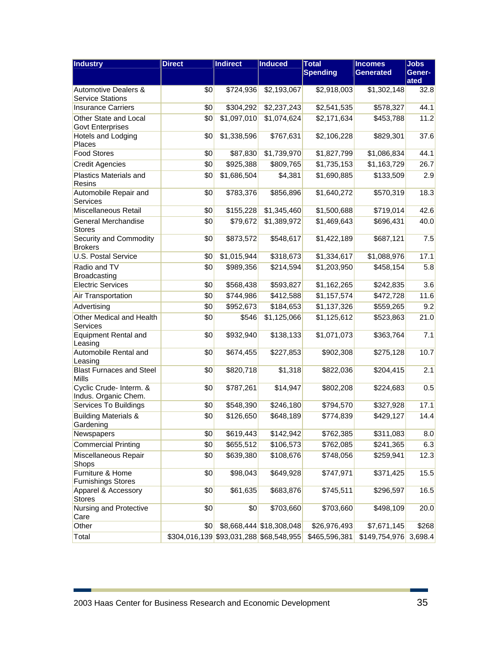| Industry                                                   | <b>Direct</b>                              | <b>Indirect</b> | <b>Induced</b>           | <b>Total</b><br><b>Spending</b> | <b>Incomes</b><br><b>Generated</b> | <b>Jobs</b><br>Gener-<br>ated |
|------------------------------------------------------------|--------------------------------------------|-----------------|--------------------------|---------------------------------|------------------------------------|-------------------------------|
| <b>Automotive Dealers &amp;</b><br><b>Service Stations</b> | \$0                                        | \$724,936       | \$2,193,067              | \$2,918,003                     | \$1,302,148                        | 32.8                          |
| <b>Insurance Carriers</b>                                  | \$0                                        | \$304,292       | \$2,237,243              | \$2,541,535                     | \$578,327                          | 44.1                          |
| Other State and Local<br><b>Govt Enterprises</b>           | \$0                                        | \$1,097,010     | \$1,074,624              | \$2,171,634                     | \$453,788                          | 11.2                          |
| Hotels and Lodging<br>Places                               | \$0                                        | \$1,338,596     | \$767,631                | \$2,106,228                     | \$829,301                          | 37.6                          |
| <b>Food Stores</b>                                         | \$0                                        | \$87,830        | \$1,739,970              | \$1,827,799                     | \$1,086,834                        | 44.1                          |
| <b>Credit Agencies</b>                                     | \$0                                        | \$925,388       | \$809,765                | \$1,735,153                     | \$1,163,729                        | 26.7                          |
| <b>Plastics Materials and</b><br>Resins                    | \$0                                        | \$1,686,504     | \$4,381                  | \$1,690,885                     | \$133,509                          | 2.9                           |
| Automobile Repair and<br>Services                          | \$0                                        | \$783,376       | \$856,896                | \$1,640,272                     | \$570,319                          | 18.3                          |
| Miscellaneous Retail                                       | \$0                                        | \$155,228       | \$1,345,460              | \$1,500,688                     | \$719,014                          | 42.6                          |
| General Merchandise<br><b>Stores</b>                       | \$0                                        | \$79,672        | \$1,389,972              | \$1,469,643                     | \$696,431                          | 40.0                          |
| Security and Commodity<br><b>Brokers</b>                   | \$0                                        | \$873,572       | \$548,617                | \$1,422,189                     | \$687,121                          | 7.5                           |
| <b>U.S. Postal Service</b>                                 | \$0                                        | \$1,015,944     | \$318,673                | \$1,334,617                     | \$1,088,976                        | 17.1                          |
| Radio and TV<br>Broadcasting                               | \$0                                        | \$989,356       | \$214,594                | \$1,203,950                     | \$458,154                          | 5.8                           |
| <b>Electric Services</b>                                   | \$0                                        | \$568,438       | \$593,827                | \$1,162,265                     | \$242,835                          | 3.6                           |
| Air Transportation                                         | \$0                                        | \$744,986       | \$412,588                | \$1,157,574                     | \$472,728                          | 11.6                          |
| Advertising                                                | \$0                                        | \$952,673       | \$184,653                | \$1,137,326                     | \$559,265                          | 9.2                           |
| Other Medical and Health<br><b>Services</b>                | \$0                                        | \$546           | \$1,125,066              | \$1,125,612                     | \$523,863                          | 21.0                          |
| <b>Equipment Rental and</b><br>Leasing                     | \$0                                        | \$932,940       | \$138,133                | \$1,071,073                     | \$363,764                          | 7.1                           |
| Automobile Rental and<br>Leasing                           | \$0                                        | \$674,455       | \$227,853                | \$902,308                       | \$275,128                          | 10.7                          |
| <b>Blast Furnaces and Steel</b><br><b>Mills</b>            | \$0                                        | \$820,718       | \$1,318                  | \$822,036                       | \$204,415                          | 2.1                           |
| Cyclic Crude- Interm. &<br>Indus. Organic Chem.            | \$0                                        | \$787,261       | \$14,947                 | \$802,208                       | \$224,683                          | 0.5                           |
| Services To Buildings                                      | \$0                                        | \$548,390       | \$246,180                | \$794,570                       | \$327,928                          | 17.1                          |
| <b>Building Materials &amp;</b><br>Gardening               | \$0                                        | \$126,650       | \$648,189                | \$774,839                       | \$429,127                          | 14.4                          |
| Newspapers                                                 | \$0                                        | \$619,443       | \$142,942                | \$762,385                       | \$311,083                          | 8.0                           |
| <b>Commercial Printing</b>                                 | \$0                                        | \$655,512       | \$106,573                | \$762,085                       | \$241,365                          | 6.3                           |
| Miscellaneous Repair<br>Shops                              | \$0                                        | \$639,380       | \$108,676                | \$748,056                       | \$259,941                          | 12.3                          |
| Furniture & Home<br><b>Furnishings Stores</b>              | \$0                                        | \$98,043        | \$649,928                | \$747,971                       | \$371,425                          | 15.5                          |
| Apparel & Accessory<br><b>Stores</b>                       | \$0                                        | \$61,635        | \$683,876                | \$745,511                       | \$296,597                          | 16.5                          |
| Nursing and Protective<br>Care                             | \$0                                        | \$0             | \$703,660                | \$703,660                       | \$498,109                          | 20.0                          |
| Other                                                      | \$0                                        |                 | \$8,668,444 \$18,308,048 | \$26,976,493                    | \$7,671,145                        | \$268                         |
| Total                                                      | $$304,016,139$ $$93,031,288$ $$68,548,955$ |                 |                          | \$465,596,381                   | \$149,754,976                      | 3,698.4                       |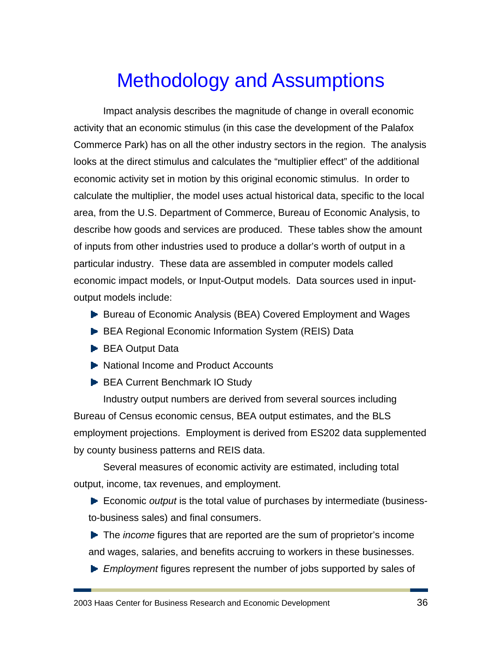# Methodology and Assumptions

Impact analysis describes the magnitude of change in overall economic activity that an economic stimulus (in this case the development of the Palafox Commerce Park) has on all the other industry sectors in the region. The analysis looks at the direct stimulus and calculates the "multiplier effect" of the additional economic activity set in motion by this original economic stimulus. In order to calculate the multiplier, the model uses actual historical data, specific to the local area, from the U.S. Department of Commerce, Bureau of Economic Analysis, to describe how goods and services are produced. These tables show the amount of inputs from other industries used to produce a dollar's worth of output in a particular industry. These data are assembled in computer models called economic impact models, or Input-Output models. Data sources used in inputoutput models include:

- ▶ Bureau of Economic Analysis (BEA) Covered Employment and Wages
- ▶ BEA Regional Economic Information System (REIS) Data
- **BEA Output Data**
- ▶ National Income and Product Accounts
- **BEA Current Benchmark IO Study**

Industry output numbers are derived from several sources including Bureau of Census economic census, BEA output estimates, and the BLS employment projections. Employment is derived from ES202 data supplemented by county business patterns and REIS data.

Several measures of economic activity are estimated, including total output, income, tax revenues, and employment.

Economic *output* is the total value of purchases by intermediate (businessto-business sales) and final consumers.

**►** The *income* figures that are reported are the sum of proprietor's income and wages, salaries, and benefits accruing to workers in these businesses.

*Employment* figures represent the number of jobs supported by sales of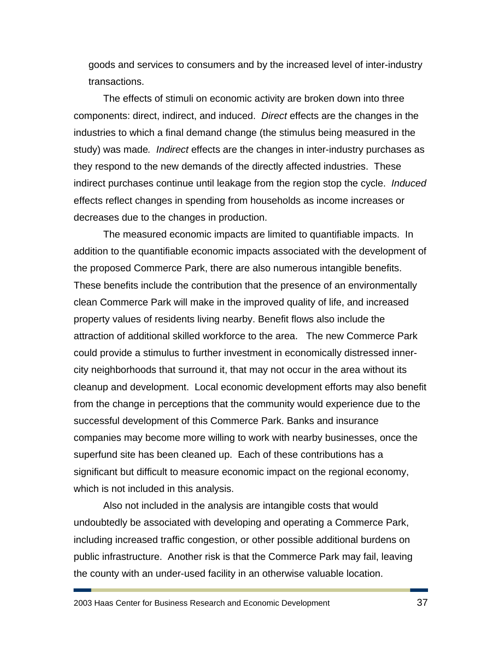goods and services to consumers and by the increased level of inter-industry transactions.

The effects of stimuli on economic activity are broken down into three components: direct, indirect, and induced. *Direct* effects are the changes in the industries to which a final demand change (the stimulus being measured in the study) was made*. Indirect* effects are the changes in inter-industry purchases as they respond to the new demands of the directly affected industries. These indirect purchases continue until leakage from the region stop the cycle. *Induced* effects reflect changes in spending from households as income increases or decreases due to the changes in production.

The measured economic impacts are limited to quantifiable impacts. In addition to the quantifiable economic impacts associated with the development of the proposed Commerce Park, there are also numerous intangible benefits. These benefits include the contribution that the presence of an environmentally clean Commerce Park will make in the improved quality of life, and increased property values of residents living nearby. Benefit flows also include the attraction of additional skilled workforce to the area. The new Commerce Park could provide a stimulus to further investment in economically distressed innercity neighborhoods that surround it, that may not occur in the area without its cleanup and development. Local economic development efforts may also benefit from the change in perceptions that the community would experience due to the successful development of this Commerce Park. Banks and insurance companies may become more willing to work with nearby businesses, once the superfund site has been cleaned up. Each of these contributions has a significant but difficult to measure economic impact on the regional economy, which is not included in this analysis.

Also not included in the analysis are intangible costs that would undoubtedly be associated with developing and operating a Commerce Park, including increased traffic congestion, or other possible additional burdens on public infrastructure. Another risk is that the Commerce Park may fail, leaving the county with an under-used facility in an otherwise valuable location.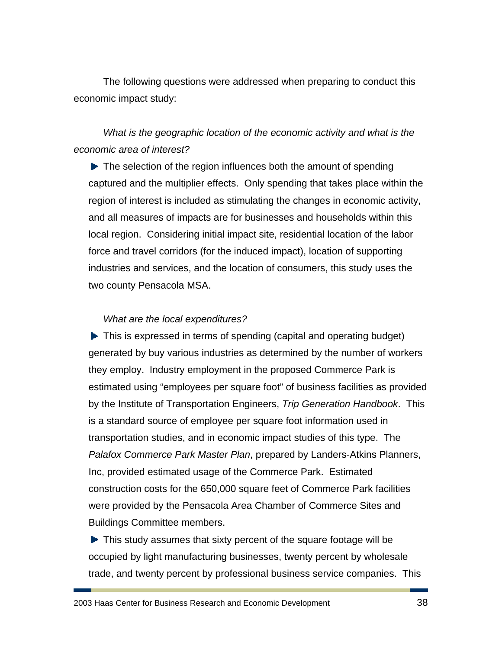The following questions were addressed when preparing to conduct this economic impact study:

### *What is the geographic location of the economic activity and what is the economic area of interest?*

 $\blacktriangleright$  The selection of the region influences both the amount of spending captured and the multiplier effects. Only spending that takes place within the region of interest is included as stimulating the changes in economic activity, and all measures of impacts are for businesses and households within this local region. Considering initial impact site, residential location of the labor force and travel corridors (for the induced impact), location of supporting industries and services, and the location of consumers, this study uses the two county Pensacola MSA.

### *What are the local expenditures?*

▶ This is expressed in terms of spending (capital and operating budget) generated by buy various industries as determined by the number of workers they employ. Industry employment in the proposed Commerce Park is estimated using "employees per square foot" of business facilities as provided by the Institute of Transportation Engineers, *Trip Generation Handbook*. This is a standard source of employee per square foot information used in transportation studies, and in economic impact studies of this type. The *Palafox Commerce Park Master Plan*, prepared by Landers-Atkins Planners, Inc, provided estimated usage of the Commerce Park. Estimated construction costs for the 650,000 square feet of Commerce Park facilities were provided by the Pensacola Area Chamber of Commerce Sites and Buildings Committee members.

▶ This study assumes that sixty percent of the square footage will be occupied by light manufacturing businesses, twenty percent by wholesale trade, and twenty percent by professional business service companies. This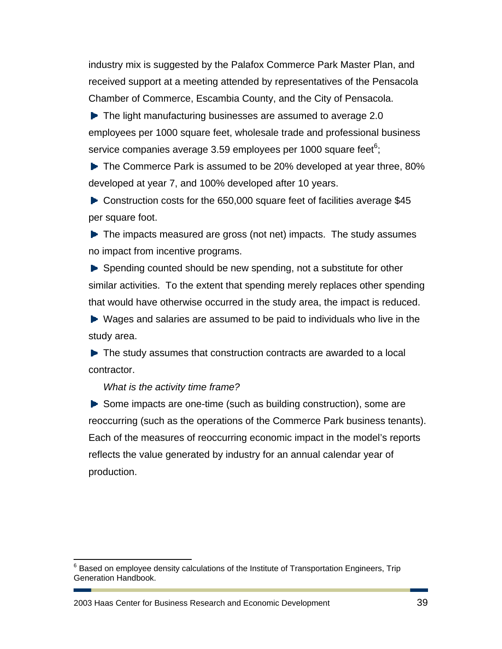industry mix is suggested by the Palafox Commerce Park Master Plan, and received support at a meeting attended by representatives of the Pensacola Chamber of Commerce, Escambia County, and the City of Pensacola.

▶ The light manufacturing businesses are assumed to average 2.0 employees per 1000 square feet, wholesale trade and professional business service companies average 3.59 employees per 1000 square feet $6$ ;

The Commerce Park is assumed to be 20% developed at year three, 80% developed at year 7, and 100% developed after 10 years.

► Construction costs for the 650,000 square feet of facilities average \$45 per square foot.

 $\blacktriangleright$  The impacts measured are gross (not net) impacts. The study assumes no impact from incentive programs.

Spending counted should be new spending, not a substitute for other similar activities. To the extent that spending merely replaces other spending that would have otherwise occurred in the study area, the impact is reduced.

▶ Wages and salaries are assumed to be paid to individuals who live in the study area.

 $\blacktriangleright$  The study assumes that construction contracts are awarded to a local contractor.

#### *What is the activity time frame?*

<u>.</u>

Some impacts are one-time (such as building construction), some are reoccurring (such as the operations of the Commerce Park business tenants). Each of the measures of reoccurring economic impact in the model's reports reflects the value generated by industry for an annual calendar year of production.

2003 Haas Center for Business Research and Economic Development 39

 $6$  Based on employee density calculations of the Institute of Transportation Engineers, Trip Generation Handbook.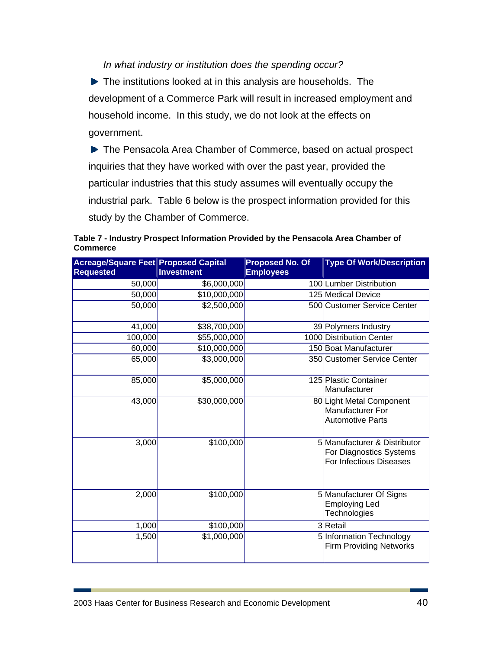### *In what industry or institution does the spending occur?*

The institutions looked at in this analysis are households. The development of a Commerce Park will result in increased employment and household income. In this study, we do not look at the effects on government.

▶ The Pensacola Area Chamber of Commerce, based on actual prospect inquiries that they have worked with over the past year, provided the particular industries that this study assumes will eventually occupy the industrial park. Table 6 below is the prospect information provided for this study by the Chamber of Commerce.

| Table 7 - Industry Prospect Information Provided by the Pensacola Area Chamber of |  |
|-----------------------------------------------------------------------------------|--|
| <b>Commerce</b>                                                                   |  |

| <b>Acreage/Square Feet Proposed Capital</b> |                   | <b>Proposed No. Of</b> | <b>Type Of Work/Description</b>                                                    |
|---------------------------------------------|-------------------|------------------------|------------------------------------------------------------------------------------|
| <b>Requested</b>                            | <b>Investment</b> | <b>Employees</b>       |                                                                                    |
| 50,000                                      | \$6,000,000       |                        | 100 Lumber Distribution                                                            |
| 50,000                                      | \$10,000,000      |                        | 125 Medical Device                                                                 |
| 50,000                                      | \$2,500,000       |                        | 500 Customer Service Center                                                        |
| 41,000                                      | \$38,700,000      |                        | 39 Polymers Industry                                                               |
| 100,000                                     | \$55,000,000      |                        | 1000 Distribution Center                                                           |
| 60,000                                      | \$10,000,000      |                        | 150 Boat Manufacturer                                                              |
| 65,000                                      | \$3,000,000       |                        | 350 Customer Service Center                                                        |
| 85,000                                      | \$5,000,000       |                        | 125 Plastic Container<br>Manufacturer                                              |
| 43,000                                      | \$30,000,000      |                        | 80 Light Metal Component<br><b>Manufacturer For</b><br><b>Automotive Parts</b>     |
| 3,000                                       | \$100,000         |                        | 5 Manufacturer & Distributor<br>For Diagnostics Systems<br>For Infectious Diseases |
| 2,000                                       | \$100,000         |                        | 5 Manufacturer Of Signs<br><b>Employing Led</b><br>Technologies                    |
| 1,000                                       | \$100,000         |                        | 3Retail                                                                            |
| 1,500                                       | \$1,000,000       |                        | 5 Information Technology<br><b>Firm Providing Networks</b>                         |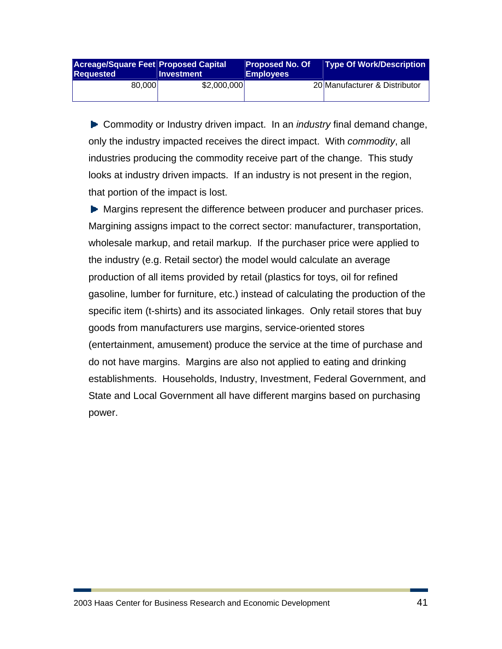| <b>Acreage/Square Feet Proposed Capital</b><br><b>Requested</b> | <b>Investment</b> | <b>Proposed No. Of</b><br><b>Employees</b> | <b>Type Of Work/Description</b> |
|-----------------------------------------------------------------|-------------------|--------------------------------------------|---------------------------------|
| 80.000                                                          | \$2,000,000       |                                            | 20 Manufacturer & Distributor   |

Commodity or Industry driven impact. In an *industry* final demand change, only the industry impacted receives the direct impact. With *commodity*, all industries producing the commodity receive part of the change. This study looks at industry driven impacts. If an industry is not present in the region, that portion of the impact is lost.

**Margins represent the difference between producer and purchaser prices.** Margining assigns impact to the correct sector: manufacturer, transportation, wholesale markup, and retail markup. If the purchaser price were applied to the industry (e.g. Retail sector) the model would calculate an average production of all items provided by retail (plastics for toys, oil for refined gasoline, lumber for furniture, etc.) instead of calculating the production of the specific item (t-shirts) and its associated linkages. Only retail stores that buy goods from manufacturers use margins, service-oriented stores (entertainment, amusement) produce the service at the time of purchase and do not have margins. Margins are also not applied to eating and drinking establishments. Households, Industry, Investment, Federal Government, and State and Local Government all have different margins based on purchasing power.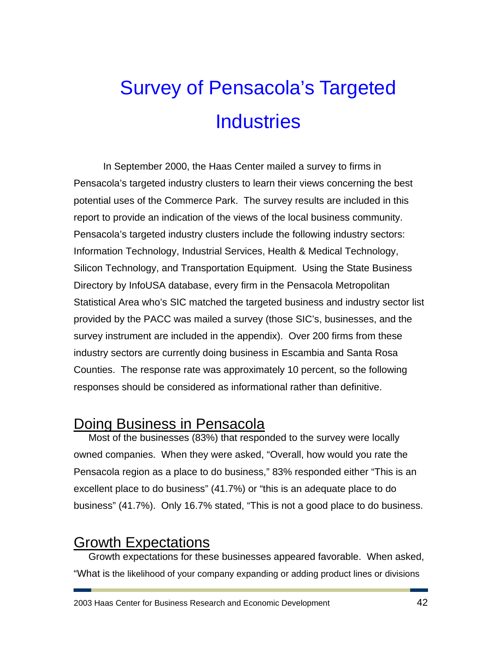# Survey of Pensacola's Targeted **Industries**

In September 2000, the Haas Center mailed a survey to firms in Pensacola's targeted industry clusters to learn their views concerning the best potential uses of the Commerce Park. The survey results are included in this report to provide an indication of the views of the local business community. Pensacola's targeted industry clusters include the following industry sectors: Information Technology, Industrial Services, Health & Medical Technology, Silicon Technology, and Transportation Equipment. Using the State Business Directory by InfoUSA database, every firm in the Pensacola Metropolitan Statistical Area who's SIC matched the targeted business and industry sector list provided by the PACC was mailed a survey (those SIC's, businesses, and the survey instrument are included in the appendix). Over 200 firms from these industry sectors are currently doing business in Escambia and Santa Rosa Counties. The response rate was approximately 10 percent, so the following responses should be considered as informational rather than definitive.

## Doing Business in Pensacola

Most of the businesses (83%) that responded to the survey were locally owned companies. When they were asked, "Overall, how would you rate the Pensacola region as a place to do business," 83% responded either "This is an excellent place to do business" (41.7%) or "this is an adequate place to do business" (41.7%). Only 16.7% stated, "This is not a good place to do business.

## Growth Expectations

Growth expectations for these businesses appeared favorable. When asked, "What is the likelihood of your company expanding or adding product lines or divisions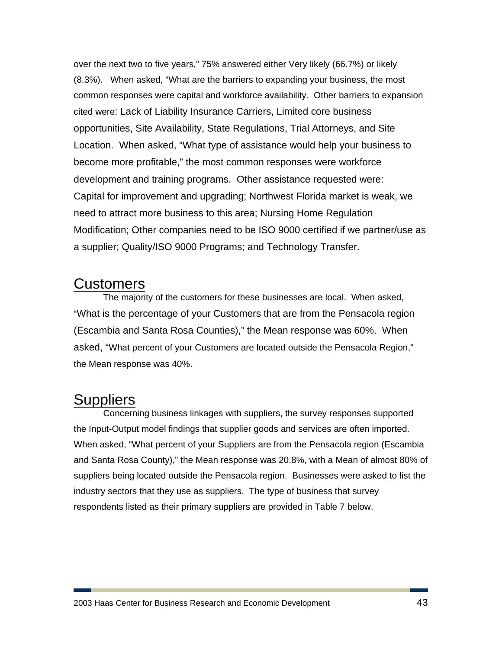over the next two to five years," 75% answered either Very likely (66.7%) or likely (8.3%). When asked, "What are the barriers to expanding your business, the most common responses were capital and workforce availability. Other barriers to expansion cited were: Lack of Liability Insurance Carriers, Limited core business opportunities, Site Availability, State Regulations, Trial Attorneys, and Site Location. When asked, "What type of assistance would help your business to become more profitable," the most common responses were workforce development and training programs. Other assistance requested were: Capital for improvement and upgrading; Northwest Florida market is weak, we need to attract more business to this area; Nursing Home Regulation Modification; Other companies need to be ISO 9000 certified if we partner/use as a supplier; Quality/ISO 9000 Programs; and Technology Transfer.

### **Customers**

The majority of the customers for these businesses are local. When asked, "What is the percentage of your Customers that are from the Pensacola region (Escambia and Santa Rosa Counties)," the Mean response was 60%. When asked, "What percent of your Customers are located outside the Pensacola Region," the Mean response was 40%.

## **Suppliers**

Concerning business linkages with suppliers, the survey responses supported the Input-Output model findings that supplier goods and services are often imported. When asked, "What percent of your Suppliers are from the Pensacola region (Escambia and Santa Rosa County)," the Mean response was 20.8%, with a Mean of almost 80% of suppliers being located outside the Pensacola region. Businesses were asked to list the industry sectors that they use as suppliers. The type of business that survey respondents listed as their primary suppliers are provided in Table 7 below.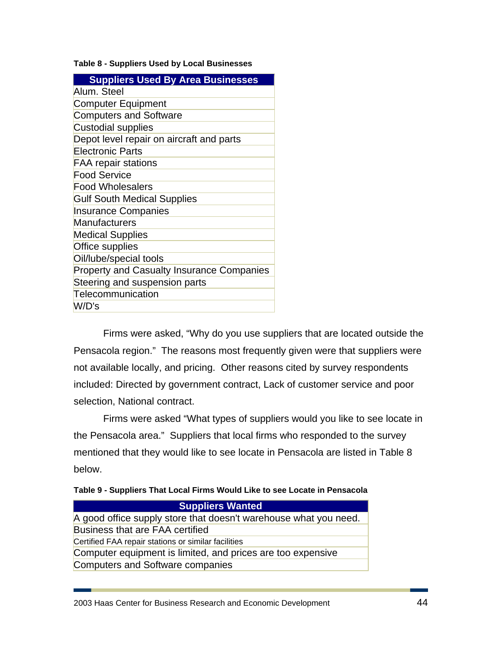#### **Table 8 - Suppliers Used by Local Businesses**

| <b>Suppliers Used By Area Businesses</b>         |
|--------------------------------------------------|
| Alum. Steel                                      |
| <b>Computer Equipment</b>                        |
| <b>Computers and Software</b>                    |
| <b>Custodial supplies</b>                        |
| Depot level repair on aircraft and parts         |
| <b>Electronic Parts</b>                          |
| <b>FAA repair stations</b>                       |
| <b>Food Service</b>                              |
| <b>Food Wholesalers</b>                          |
| <b>Gulf South Medical Supplies</b>               |
| <b>Insurance Companies</b>                       |
| Manufacturers                                    |
| <b>Medical Supplies</b>                          |
| Office supplies                                  |
| Oil/lube/special tools                           |
| <b>Property and Casualty Insurance Companies</b> |
| Steering and suspension parts                    |
| Telecommunication                                |
| W/D's                                            |

Firms were asked, "Why do you use suppliers that are located outside the Pensacola region." The reasons most frequently given were that suppliers were not available locally, and pricing. Other reasons cited by survey respondents included: Directed by government contract, Lack of customer service and poor selection, National contract.

Firms were asked "What types of suppliers would you like to see locate in the Pensacola area." Suppliers that local firms who responded to the survey mentioned that they would like to see locate in Pensacola are listed in Table 8 below.

|  | Table 9 - Suppliers That Local Firms Would Like to see Locate in Pensacola |  |
|--|----------------------------------------------------------------------------|--|
|  |                                                                            |  |

| <b>Suppliers Wanted</b>                                          |
|------------------------------------------------------------------|
| A good office supply store that doesn't warehouse what you need. |
| Business that are FAA certified                                  |
| Certified FAA repair stations or similar facilities              |
| Computer equipment is limited, and prices are too expensive      |
| Computers and Software companies                                 |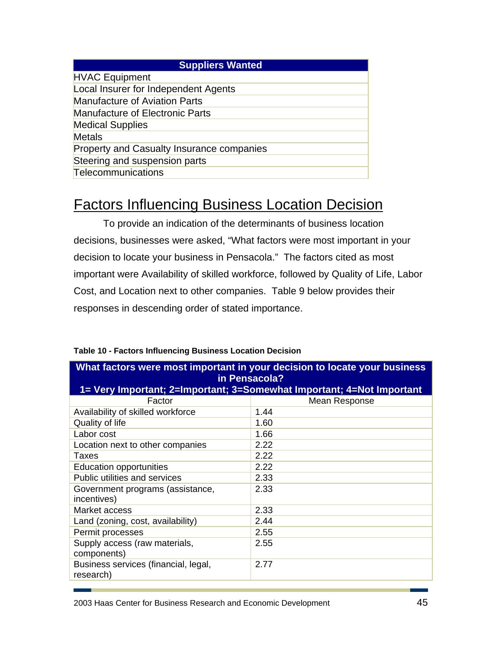| <b>Suppliers Wanted</b>                   |
|-------------------------------------------|
| <b>HVAC Equipment</b>                     |
| Local Insurer for Independent Agents      |
| <b>Manufacture of Aviation Parts</b>      |
| <b>Manufacture of Electronic Parts</b>    |
| <b>Medical Supplies</b>                   |
| Metals                                    |
| Property and Casualty Insurance companies |
| Steering and suspension parts             |
| Telecommunications                        |

# Factors Influencing Business Location Decision

To provide an indication of the determinants of business location decisions, businesses were asked, "What factors were most important in your decision to locate your business in Pensacola." The factors cited as most important were Availability of skilled workforce, followed by Quality of Life, Labor Cost, and Location next to other companies. Table 9 below provides their responses in descending order of stated importance.

|                                                   | What factors were most important in your decision to locate your business |
|---------------------------------------------------|---------------------------------------------------------------------------|
|                                                   | in Pensacola?                                                             |
|                                                   | 1= Very Important; 2=Important; 3=Somewhat Important; 4=Not Important     |
| Factor                                            | Mean Response                                                             |
| Availability of skilled workforce                 | 1.44                                                                      |
| Quality of life                                   | 1.60                                                                      |
| Labor cost                                        | 1.66                                                                      |
| Location next to other companies                  | 2.22                                                                      |
| Taxes                                             | 2.22                                                                      |
| <b>Education opportunities</b>                    | 2.22                                                                      |
| <b>Public utilities and services</b>              | 2.33                                                                      |
| Government programs (assistance,<br>incentives)   | 2.33                                                                      |
| Market access                                     | 2.33                                                                      |
| Land (zoning, cost, availability)                 | 2.44                                                                      |
| Permit processes                                  | 2.55                                                                      |
| Supply access (raw materials,<br>components)      | 2.55                                                                      |
| Business services (financial, legal,<br>research) | 2.77                                                                      |

### **Table 10 - Factors Influencing Business Location Decision**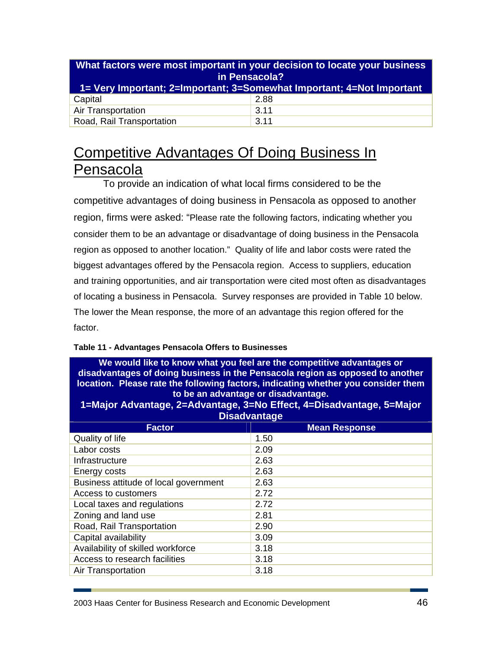| in Pensacola?<br>1= Very Important; 2=Important; 3=Somewhat Important; 4=Not Important | What factors were most important in your decision to locate your business |
|----------------------------------------------------------------------------------------|---------------------------------------------------------------------------|
| Capital                                                                                | 2.88                                                                      |
| <b>Air Transportation</b>                                                              | 3.11                                                                      |
| Road, Rail Transportation                                                              | 3.11                                                                      |

# Competitive Advantages Of Doing Business In Pensacola

To provide an indication of what local firms considered to be the competitive advantages of doing business in Pensacola as opposed to another region, firms were asked: "Please rate the following factors, indicating whether you consider them to be an advantage or disadvantage of doing business in the Pensacola region as opposed to another location." Quality of life and labor costs were rated the biggest advantages offered by the Pensacola region. Access to suppliers, education and training opportunities, and air transportation were cited most often as disadvantages of locating a business in Pensacola. Survey responses are provided in Table 10 below. The lower the Mean response, the more of an advantage this region offered for the factor.

### **Table 11 - Advantages Pensacola Offers to Businesses**

| We would like to know what you feel are the competitive advantages or<br>disadvantages of doing business in the Pensacola region as opposed to another<br>location. Please rate the following factors, indicating whether you consider them<br>to be an advantage or disadvantage.<br>1=Major Advantage, 2=Advantage, 3=No Effect, 4=Disadvantage, 5=Major<br><b>Disadvantage</b> |                      |  |
|-----------------------------------------------------------------------------------------------------------------------------------------------------------------------------------------------------------------------------------------------------------------------------------------------------------------------------------------------------------------------------------|----------------------|--|
| <b>Factor</b>                                                                                                                                                                                                                                                                                                                                                                     | <b>Mean Response</b> |  |
| Quality of life                                                                                                                                                                                                                                                                                                                                                                   | 1.50                 |  |
| Labor costs                                                                                                                                                                                                                                                                                                                                                                       | 2.09                 |  |
| Infrastructure                                                                                                                                                                                                                                                                                                                                                                    | 2.63                 |  |
| Energy costs                                                                                                                                                                                                                                                                                                                                                                      | 2.63                 |  |
| Business attitude of local government                                                                                                                                                                                                                                                                                                                                             | 2.63                 |  |
| Access to customers                                                                                                                                                                                                                                                                                                                                                               | 2.72                 |  |
| Local taxes and regulations                                                                                                                                                                                                                                                                                                                                                       | 2.72                 |  |
| Zoning and land use                                                                                                                                                                                                                                                                                                                                                               | 2.81                 |  |
| Road, Rail Transportation                                                                                                                                                                                                                                                                                                                                                         | 2.90                 |  |
| Capital availability                                                                                                                                                                                                                                                                                                                                                              | 3.09                 |  |
| Availability of skilled workforce                                                                                                                                                                                                                                                                                                                                                 | 3.18                 |  |
| Access to research facilities                                                                                                                                                                                                                                                                                                                                                     | 3.18                 |  |
| Air Transportation                                                                                                                                                                                                                                                                                                                                                                | 3.18                 |  |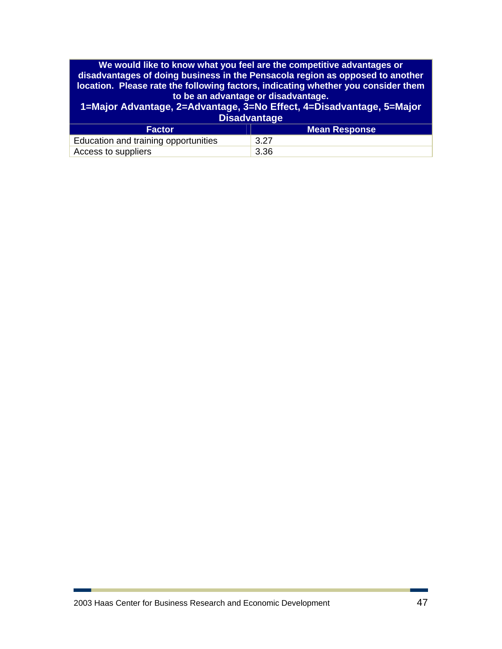|                                      | We would like to know what you feel are the competitive advantages or<br>disadvantages of doing business in the Pensacola region as opposed to another<br>location. Please rate the following factors, indicating whether you consider them<br>to be an advantage or disadvantage.<br>1=Major Advantage, 2=Advantage, 3=No Effect, 4=Disadvantage, 5=Major<br><b>Disadvantage</b> |
|--------------------------------------|-----------------------------------------------------------------------------------------------------------------------------------------------------------------------------------------------------------------------------------------------------------------------------------------------------------------------------------------------------------------------------------|
| <b>Factor</b>                        | <b>Mean Response</b>                                                                                                                                                                                                                                                                                                                                                              |
| Education and training opportunities | 3.27                                                                                                                                                                                                                                                                                                                                                                              |
| Access to suppliers                  | 3.36                                                                                                                                                                                                                                                                                                                                                                              |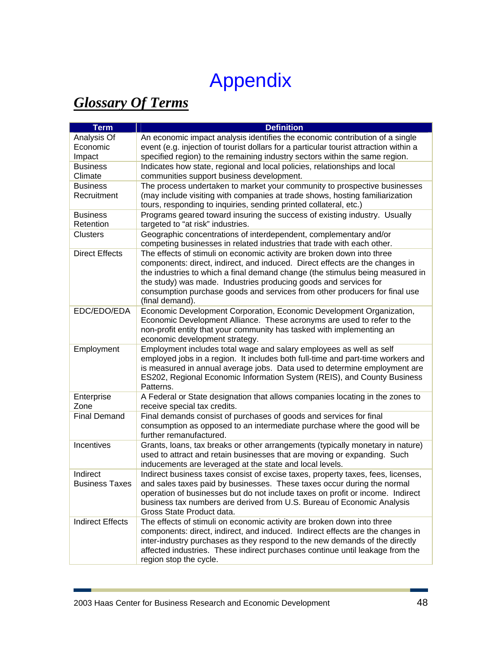# Appendix

# *Glossary Of Terms*

| Analysis Of<br>An economic impact analysis identifies the economic contribution of a single<br>event (e.g. injection of tourist dollars for a particular tourist attraction within a<br>Economic<br>specified region) to the remaining industry sectors within the same region.<br>Impact<br>Indicates how state, regional and local policies, relationships and local<br><b>Business</b><br>Climate<br>communities support business development.<br>The process undertaken to market your community to prospective businesses<br><b>Business</b><br>Recruitment<br>(may include visiting with companies at trade shows, hosting familiarization<br>tours, responding to inquiries, sending printed collateral, etc.)<br>Programs geared toward insuring the success of existing industry. Usually<br><b>Business</b><br>Retention<br>targeted to "at risk" industries.<br>Geographic concentrations of interdependent, complementary and/or<br><b>Clusters</b><br>competing businesses in related industries that trade with each other.<br><b>Direct Effects</b><br>The effects of stimuli on economic activity are broken down into three |
|----------------------------------------------------------------------------------------------------------------------------------------------------------------------------------------------------------------------------------------------------------------------------------------------------------------------------------------------------------------------------------------------------------------------------------------------------------------------------------------------------------------------------------------------------------------------------------------------------------------------------------------------------------------------------------------------------------------------------------------------------------------------------------------------------------------------------------------------------------------------------------------------------------------------------------------------------------------------------------------------------------------------------------------------------------------------------------------------------------------------------------------------|
|                                                                                                                                                                                                                                                                                                                                                                                                                                                                                                                                                                                                                                                                                                                                                                                                                                                                                                                                                                                                                                                                                                                                              |
|                                                                                                                                                                                                                                                                                                                                                                                                                                                                                                                                                                                                                                                                                                                                                                                                                                                                                                                                                                                                                                                                                                                                              |
|                                                                                                                                                                                                                                                                                                                                                                                                                                                                                                                                                                                                                                                                                                                                                                                                                                                                                                                                                                                                                                                                                                                                              |
|                                                                                                                                                                                                                                                                                                                                                                                                                                                                                                                                                                                                                                                                                                                                                                                                                                                                                                                                                                                                                                                                                                                                              |
|                                                                                                                                                                                                                                                                                                                                                                                                                                                                                                                                                                                                                                                                                                                                                                                                                                                                                                                                                                                                                                                                                                                                              |
|                                                                                                                                                                                                                                                                                                                                                                                                                                                                                                                                                                                                                                                                                                                                                                                                                                                                                                                                                                                                                                                                                                                                              |
|                                                                                                                                                                                                                                                                                                                                                                                                                                                                                                                                                                                                                                                                                                                                                                                                                                                                                                                                                                                                                                                                                                                                              |
|                                                                                                                                                                                                                                                                                                                                                                                                                                                                                                                                                                                                                                                                                                                                                                                                                                                                                                                                                                                                                                                                                                                                              |
|                                                                                                                                                                                                                                                                                                                                                                                                                                                                                                                                                                                                                                                                                                                                                                                                                                                                                                                                                                                                                                                                                                                                              |
|                                                                                                                                                                                                                                                                                                                                                                                                                                                                                                                                                                                                                                                                                                                                                                                                                                                                                                                                                                                                                                                                                                                                              |
|                                                                                                                                                                                                                                                                                                                                                                                                                                                                                                                                                                                                                                                                                                                                                                                                                                                                                                                                                                                                                                                                                                                                              |
|                                                                                                                                                                                                                                                                                                                                                                                                                                                                                                                                                                                                                                                                                                                                                                                                                                                                                                                                                                                                                                                                                                                                              |
|                                                                                                                                                                                                                                                                                                                                                                                                                                                                                                                                                                                                                                                                                                                                                                                                                                                                                                                                                                                                                                                                                                                                              |
| components: direct, indirect, and induced. Direct effects are the changes in                                                                                                                                                                                                                                                                                                                                                                                                                                                                                                                                                                                                                                                                                                                                                                                                                                                                                                                                                                                                                                                                 |
| the industries to which a final demand change (the stimulus being measured in                                                                                                                                                                                                                                                                                                                                                                                                                                                                                                                                                                                                                                                                                                                                                                                                                                                                                                                                                                                                                                                                |
| the study) was made. Industries producing goods and services for                                                                                                                                                                                                                                                                                                                                                                                                                                                                                                                                                                                                                                                                                                                                                                                                                                                                                                                                                                                                                                                                             |
| consumption purchase goods and services from other producers for final use                                                                                                                                                                                                                                                                                                                                                                                                                                                                                                                                                                                                                                                                                                                                                                                                                                                                                                                                                                                                                                                                   |
| (final demand).                                                                                                                                                                                                                                                                                                                                                                                                                                                                                                                                                                                                                                                                                                                                                                                                                                                                                                                                                                                                                                                                                                                              |
| EDC/EDO/EDA<br>Economic Development Corporation, Economic Development Organization,                                                                                                                                                                                                                                                                                                                                                                                                                                                                                                                                                                                                                                                                                                                                                                                                                                                                                                                                                                                                                                                          |
| Economic Development Alliance. These acronyms are used to refer to the                                                                                                                                                                                                                                                                                                                                                                                                                                                                                                                                                                                                                                                                                                                                                                                                                                                                                                                                                                                                                                                                       |
| non-profit entity that your community has tasked with implementing an                                                                                                                                                                                                                                                                                                                                                                                                                                                                                                                                                                                                                                                                                                                                                                                                                                                                                                                                                                                                                                                                        |
| economic development strategy.                                                                                                                                                                                                                                                                                                                                                                                                                                                                                                                                                                                                                                                                                                                                                                                                                                                                                                                                                                                                                                                                                                               |
| Employment<br>Employment includes total wage and salary employees as well as self                                                                                                                                                                                                                                                                                                                                                                                                                                                                                                                                                                                                                                                                                                                                                                                                                                                                                                                                                                                                                                                            |
| employed jobs in a region. It includes both full-time and part-time workers and                                                                                                                                                                                                                                                                                                                                                                                                                                                                                                                                                                                                                                                                                                                                                                                                                                                                                                                                                                                                                                                              |
| is measured in annual average jobs. Data used to determine employment are<br>ES202, Regional Economic Information System (REIS), and County Business                                                                                                                                                                                                                                                                                                                                                                                                                                                                                                                                                                                                                                                                                                                                                                                                                                                                                                                                                                                         |
| Patterns.                                                                                                                                                                                                                                                                                                                                                                                                                                                                                                                                                                                                                                                                                                                                                                                                                                                                                                                                                                                                                                                                                                                                    |
| A Federal or State designation that allows companies locating in the zones to<br>Enterprise                                                                                                                                                                                                                                                                                                                                                                                                                                                                                                                                                                                                                                                                                                                                                                                                                                                                                                                                                                                                                                                  |
| Zone<br>receive special tax credits.                                                                                                                                                                                                                                                                                                                                                                                                                                                                                                                                                                                                                                                                                                                                                                                                                                                                                                                                                                                                                                                                                                         |
| <b>Final Demand</b><br>Final demands consist of purchases of goods and services for final                                                                                                                                                                                                                                                                                                                                                                                                                                                                                                                                                                                                                                                                                                                                                                                                                                                                                                                                                                                                                                                    |
| consumption as opposed to an intermediate purchase where the good will be                                                                                                                                                                                                                                                                                                                                                                                                                                                                                                                                                                                                                                                                                                                                                                                                                                                                                                                                                                                                                                                                    |
| further remanufactured.                                                                                                                                                                                                                                                                                                                                                                                                                                                                                                                                                                                                                                                                                                                                                                                                                                                                                                                                                                                                                                                                                                                      |
| Incentives<br>Grants, loans, tax breaks or other arrangements (typically monetary in nature)                                                                                                                                                                                                                                                                                                                                                                                                                                                                                                                                                                                                                                                                                                                                                                                                                                                                                                                                                                                                                                                 |
| used to attract and retain businesses that are moving or expanding. Such                                                                                                                                                                                                                                                                                                                                                                                                                                                                                                                                                                                                                                                                                                                                                                                                                                                                                                                                                                                                                                                                     |
| inducements are leveraged at the state and local levels.                                                                                                                                                                                                                                                                                                                                                                                                                                                                                                                                                                                                                                                                                                                                                                                                                                                                                                                                                                                                                                                                                     |
| Indirect<br>Indirect business taxes consist of excise taxes, property taxes, fees, licenses,                                                                                                                                                                                                                                                                                                                                                                                                                                                                                                                                                                                                                                                                                                                                                                                                                                                                                                                                                                                                                                                 |
| and sales taxes paid by businesses. These taxes occur during the normal<br><b>Business Taxes</b>                                                                                                                                                                                                                                                                                                                                                                                                                                                                                                                                                                                                                                                                                                                                                                                                                                                                                                                                                                                                                                             |
| operation of businesses but do not include taxes on profit or income. Indirect                                                                                                                                                                                                                                                                                                                                                                                                                                                                                                                                                                                                                                                                                                                                                                                                                                                                                                                                                                                                                                                               |
| business tax numbers are derived from U.S. Bureau of Economic Analysis                                                                                                                                                                                                                                                                                                                                                                                                                                                                                                                                                                                                                                                                                                                                                                                                                                                                                                                                                                                                                                                                       |
| Gross State Product data.                                                                                                                                                                                                                                                                                                                                                                                                                                                                                                                                                                                                                                                                                                                                                                                                                                                                                                                                                                                                                                                                                                                    |
| <b>Indirect Effects</b><br>The effects of stimuli on economic activity are broken down into three                                                                                                                                                                                                                                                                                                                                                                                                                                                                                                                                                                                                                                                                                                                                                                                                                                                                                                                                                                                                                                            |
| components: direct, indirect, and induced. Indirect effects are the changes in                                                                                                                                                                                                                                                                                                                                                                                                                                                                                                                                                                                                                                                                                                                                                                                                                                                                                                                                                                                                                                                               |
| inter-industry purchases as they respond to the new demands of the directly                                                                                                                                                                                                                                                                                                                                                                                                                                                                                                                                                                                                                                                                                                                                                                                                                                                                                                                                                                                                                                                                  |
| affected industries. These indirect purchases continue until leakage from the                                                                                                                                                                                                                                                                                                                                                                                                                                                                                                                                                                                                                                                                                                                                                                                                                                                                                                                                                                                                                                                                |
| region stop the cycle.                                                                                                                                                                                                                                                                                                                                                                                                                                                                                                                                                                                                                                                                                                                                                                                                                                                                                                                                                                                                                                                                                                                       |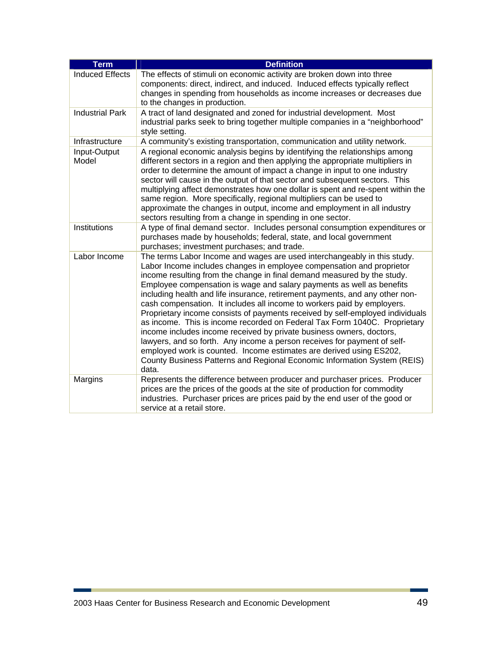| <b>Term</b>            | <b>Definition</b>                                                                                                                                                                                                                                                                                                                                                                                                                                                                                                                                                                                                                                                                                                                                                                                                                                                                                                                              |
|------------------------|------------------------------------------------------------------------------------------------------------------------------------------------------------------------------------------------------------------------------------------------------------------------------------------------------------------------------------------------------------------------------------------------------------------------------------------------------------------------------------------------------------------------------------------------------------------------------------------------------------------------------------------------------------------------------------------------------------------------------------------------------------------------------------------------------------------------------------------------------------------------------------------------------------------------------------------------|
| <b>Induced Effects</b> | The effects of stimuli on economic activity are broken down into three<br>components: direct, indirect, and induced. Induced effects typically reflect<br>changes in spending from households as income increases or decreases due<br>to the changes in production.                                                                                                                                                                                                                                                                                                                                                                                                                                                                                                                                                                                                                                                                            |
| <b>Industrial Park</b> | A tract of land designated and zoned for industrial development. Most<br>industrial parks seek to bring together multiple companies in a "neighborhood"<br>style setting.                                                                                                                                                                                                                                                                                                                                                                                                                                                                                                                                                                                                                                                                                                                                                                      |
| Infrastructure         | A community's existing transportation, communication and utility network.                                                                                                                                                                                                                                                                                                                                                                                                                                                                                                                                                                                                                                                                                                                                                                                                                                                                      |
| Input-Output<br>Model  | A regional economic analysis begins by identifying the relationships among<br>different sectors in a region and then applying the appropriate multipliers in<br>order to determine the amount of impact a change in input to one industry<br>sector will cause in the output of that sector and subsequent sectors. This<br>multiplying affect demonstrates how one dollar is spent and re-spent within the<br>same region. More specifically, regional multipliers can be used to<br>approximate the changes in output, income and employment in all industry<br>sectors resulting from a change in spending in one sector.                                                                                                                                                                                                                                                                                                                   |
| Institutions           | A type of final demand sector. Includes personal consumption expenditures or<br>purchases made by households; federal, state, and local government<br>purchases; investment purchases; and trade.                                                                                                                                                                                                                                                                                                                                                                                                                                                                                                                                                                                                                                                                                                                                              |
| Labor Income           | The terms Labor Income and wages are used interchangeably in this study.<br>Labor Income includes changes in employee compensation and proprietor<br>income resulting from the change in final demand measured by the study.<br>Employee compensation is wage and salary payments as well as benefits<br>including health and life insurance, retirement payments, and any other non-<br>cash compensation. It includes all income to workers paid by employers.<br>Proprietary income consists of payments received by self-employed individuals<br>as income. This is income recorded on Federal Tax Form 1040C. Proprietary<br>income includes income received by private business owners, doctors,<br>lawyers, and so forth. Any income a person receives for payment of self-<br>employed work is counted. Income estimates are derived using ES202,<br>County Business Patterns and Regional Economic Information System (REIS)<br>data. |
| Margins                | Represents the difference between producer and purchaser prices. Producer<br>prices are the prices of the goods at the site of production for commodity<br>industries. Purchaser prices are prices paid by the end user of the good or<br>service at a retail store.                                                                                                                                                                                                                                                                                                                                                                                                                                                                                                                                                                                                                                                                           |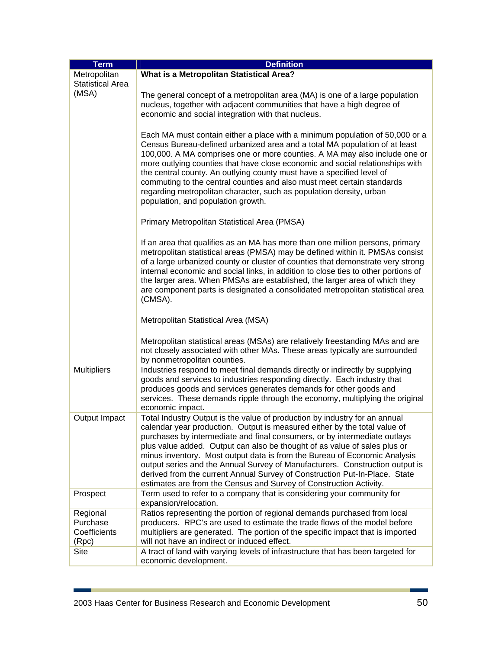| <b>Term</b>             | <b>Definition</b>                                                                                                                                      |  |  |  |  |  |  |  |  |
|-------------------------|--------------------------------------------------------------------------------------------------------------------------------------------------------|--|--|--|--|--|--|--|--|
| Metropolitan            | What is a Metropolitan Statistical Area?                                                                                                               |  |  |  |  |  |  |  |  |
| <b>Statistical Area</b> |                                                                                                                                                        |  |  |  |  |  |  |  |  |
| (MSA)                   | The general concept of a metropolitan area (MA) is one of a large population                                                                           |  |  |  |  |  |  |  |  |
|                         | nucleus, together with adjacent communities that have a high degree of                                                                                 |  |  |  |  |  |  |  |  |
|                         | economic and social integration with that nucleus.                                                                                                     |  |  |  |  |  |  |  |  |
|                         |                                                                                                                                                        |  |  |  |  |  |  |  |  |
|                         | Each MA must contain either a place with a minimum population of 50,000 or a                                                                           |  |  |  |  |  |  |  |  |
|                         | Census Bureau-defined urbanized area and a total MA population of at least                                                                             |  |  |  |  |  |  |  |  |
|                         | 100,000. A MA comprises one or more counties. A MA may also include one or                                                                             |  |  |  |  |  |  |  |  |
|                         | more outlying counties that have close economic and social relationships with                                                                          |  |  |  |  |  |  |  |  |
|                         | the central county. An outlying county must have a specified level of                                                                                  |  |  |  |  |  |  |  |  |
|                         | commuting to the central counties and also must meet certain standards                                                                                 |  |  |  |  |  |  |  |  |
|                         | regarding metropolitan character, such as population density, urban                                                                                    |  |  |  |  |  |  |  |  |
|                         | population, and population growth.                                                                                                                     |  |  |  |  |  |  |  |  |
|                         |                                                                                                                                                        |  |  |  |  |  |  |  |  |
|                         | Primary Metropolitan Statistical Area (PMSA)                                                                                                           |  |  |  |  |  |  |  |  |
|                         | If an area that qualifies as an MA has more than one million persons, primary                                                                          |  |  |  |  |  |  |  |  |
|                         | metropolitan statistical areas (PMSA) may be defined within it. PMSAs consist                                                                          |  |  |  |  |  |  |  |  |
|                         | of a large urbanized county or cluster of counties that demonstrate very strong                                                                        |  |  |  |  |  |  |  |  |
|                         | internal economic and social links, in addition to close ties to other portions of                                                                     |  |  |  |  |  |  |  |  |
|                         | the larger area. When PMSAs are established, the larger area of which they                                                                             |  |  |  |  |  |  |  |  |
|                         | are component parts is designated a consolidated metropolitan statistical area                                                                         |  |  |  |  |  |  |  |  |
|                         | (CMSA).                                                                                                                                                |  |  |  |  |  |  |  |  |
|                         | Metropolitan Statistical Area (MSA)                                                                                                                    |  |  |  |  |  |  |  |  |
|                         | Metropolitan statistical areas (MSAs) are relatively freestanding MAs and are                                                                          |  |  |  |  |  |  |  |  |
|                         | not closely associated with other MAs. These areas typically are surrounded                                                                            |  |  |  |  |  |  |  |  |
|                         | by nonmetropolitan counties.                                                                                                                           |  |  |  |  |  |  |  |  |
| <b>Multipliers</b>      | Industries respond to meet final demands directly or indirectly by supplying                                                                           |  |  |  |  |  |  |  |  |
|                         | goods and services to industries responding directly. Each industry that                                                                               |  |  |  |  |  |  |  |  |
|                         | produces goods and services generates demands for other goods and                                                                                      |  |  |  |  |  |  |  |  |
|                         | services. These demands ripple through the economy, multiplying the original                                                                           |  |  |  |  |  |  |  |  |
|                         | economic impact.                                                                                                                                       |  |  |  |  |  |  |  |  |
| <b>Output Impact</b>    | Total Industry Output is the value of production by industry for an annual                                                                             |  |  |  |  |  |  |  |  |
|                         | calendar year production. Output is measured either by the total value of<br>purchases by intermediate and final consumers, or by intermediate outlays |  |  |  |  |  |  |  |  |
|                         | plus value added. Output can also be thought of as value of sales plus or                                                                              |  |  |  |  |  |  |  |  |
|                         | minus inventory. Most output data is from the Bureau of Economic Analysis                                                                              |  |  |  |  |  |  |  |  |
|                         | output series and the Annual Survey of Manufacturers. Construction output is                                                                           |  |  |  |  |  |  |  |  |
|                         | derived from the current Annual Survey of Construction Put-In-Place. State                                                                             |  |  |  |  |  |  |  |  |
|                         | estimates are from the Census and Survey of Construction Activity.                                                                                     |  |  |  |  |  |  |  |  |
| Prospect                | Term used to refer to a company that is considering your community for                                                                                 |  |  |  |  |  |  |  |  |
|                         | expansion/relocation.                                                                                                                                  |  |  |  |  |  |  |  |  |
| Regional                | Ratios representing the portion of regional demands purchased from local                                                                               |  |  |  |  |  |  |  |  |
| Purchase                | producers. RPC's are used to estimate the trade flows of the model before                                                                              |  |  |  |  |  |  |  |  |
| Coefficients            | multipliers are generated. The portion of the specific impact that is imported                                                                         |  |  |  |  |  |  |  |  |
| (Rpc)                   | will not have an indirect or induced effect.                                                                                                           |  |  |  |  |  |  |  |  |
| Site                    | A tract of land with varying levels of infrastructure that has been targeted for<br>economic development.                                              |  |  |  |  |  |  |  |  |
|                         |                                                                                                                                                        |  |  |  |  |  |  |  |  |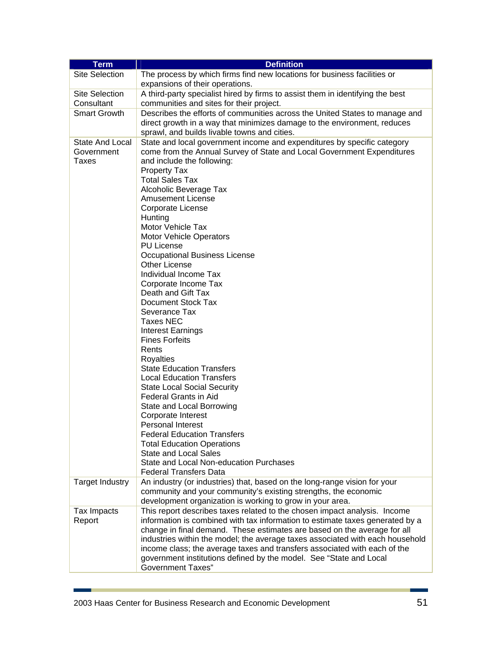| <b>Term</b>                                   | <b>Definition</b>                                                                                                                                                                                                                                                                                                                                                                                                                                                                                                                                                                                                                                                                                                                                                                                                                                                                                                                                                                                                                                                                                   |  |  |  |  |  |  |
|-----------------------------------------------|-----------------------------------------------------------------------------------------------------------------------------------------------------------------------------------------------------------------------------------------------------------------------------------------------------------------------------------------------------------------------------------------------------------------------------------------------------------------------------------------------------------------------------------------------------------------------------------------------------------------------------------------------------------------------------------------------------------------------------------------------------------------------------------------------------------------------------------------------------------------------------------------------------------------------------------------------------------------------------------------------------------------------------------------------------------------------------------------------------|--|--|--|--|--|--|
| <b>Site Selection</b>                         | The process by which firms find new locations for business facilities or<br>expansions of their operations.                                                                                                                                                                                                                                                                                                                                                                                                                                                                                                                                                                                                                                                                                                                                                                                                                                                                                                                                                                                         |  |  |  |  |  |  |
| <b>Site Selection</b><br>Consultant           | A third-party specialist hired by firms to assist them in identifying the best<br>communities and sites for their project.                                                                                                                                                                                                                                                                                                                                                                                                                                                                                                                                                                                                                                                                                                                                                                                                                                                                                                                                                                          |  |  |  |  |  |  |
| <b>Smart Growth</b>                           | Describes the efforts of communities across the United States to manage and<br>direct growth in a way that minimizes damage to the environment, reduces<br>sprawl, and builds livable towns and cities.                                                                                                                                                                                                                                                                                                                                                                                                                                                                                                                                                                                                                                                                                                                                                                                                                                                                                             |  |  |  |  |  |  |
| <b>State And Local</b><br>Government<br>Taxes | State and local government income and expenditures by specific category<br>come from the Annual Survey of State and Local Government Expenditures<br>and include the following:<br><b>Property Tax</b><br><b>Total Sales Tax</b><br>Alcoholic Beverage Tax<br><b>Amusement License</b><br>Corporate License<br>Hunting<br>Motor Vehicle Tax<br><b>Motor Vehicle Operators</b><br><b>PU License</b><br><b>Occupational Business License</b><br><b>Other License</b><br>Individual Income Tax<br>Corporate Income Tax<br>Death and Gift Tax<br>Document Stock Tax<br>Severance Tax<br><b>Taxes NEC</b><br><b>Interest Earnings</b><br><b>Fines Forfeits</b><br>Rents<br><b>Royalties</b><br><b>State Education Transfers</b><br><b>Local Education Transfers</b><br><b>State Local Social Security</b><br><b>Federal Grants in Aid</b><br>State and Local Borrowing<br>Corporate Interest<br>Personal Interest<br><b>Federal Education Transfers</b><br><b>Total Education Operations</b><br><b>State and Local Sales</b><br>State and Local Non-education Purchases<br><b>Federal Transfers Data</b> |  |  |  |  |  |  |
| <b>Target Industry</b>                        | An industry (or industries) that, based on the long-range vision for your<br>community and your community's existing strengths, the economic<br>development organization is working to grow in your area.                                                                                                                                                                                                                                                                                                                                                                                                                                                                                                                                                                                                                                                                                                                                                                                                                                                                                           |  |  |  |  |  |  |
| Tax Impacts<br>Report                         | This report describes taxes related to the chosen impact analysis. Income<br>information is combined with tax information to estimate taxes generated by a<br>change in final demand. These estimates are based on the average for all<br>industries within the model; the average taxes associated with each household<br>income class; the average taxes and transfers associated with each of the<br>government institutions defined by the model. See "State and Local<br><b>Government Taxes"</b>                                                                                                                                                                                                                                                                                                                                                                                                                                                                                                                                                                                              |  |  |  |  |  |  |